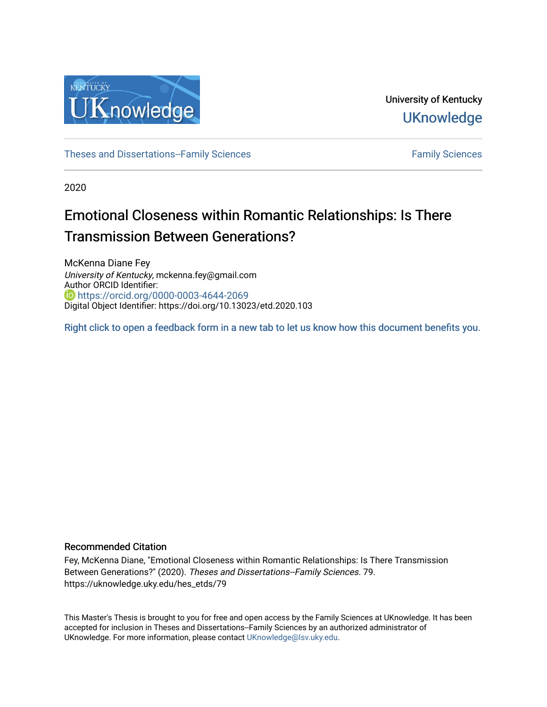

University of Kentucky **UKnowledge** 

[Theses and Dissertations--Family Sciences](https://uknowledge.uky.edu/hes_etds) [Family Sciences](https://uknowledge.uky.edu/hes) Family Sciences

2020

# Emotional Closeness within Romantic Relationships: Is There Transmission Between Generations?

McKenna Diane Fey University of Kentucky, mckenna.fey@gmail.com Author ORCID Identifier: <https://orcid.org/0000-0003-4644-2069> Digital Object Identifier: https://doi.org/10.13023/etd.2020.103

[Right click to open a feedback form in a new tab to let us know how this document benefits you.](https://uky.az1.qualtrics.com/jfe/form/SV_9mq8fx2GnONRfz7)

#### Recommended Citation

Fey, McKenna Diane, "Emotional Closeness within Romantic Relationships: Is There Transmission Between Generations?" (2020). Theses and Dissertations--Family Sciences. 79. https://uknowledge.uky.edu/hes\_etds/79

This Master's Thesis is brought to you for free and open access by the Family Sciences at UKnowledge. It has been accepted for inclusion in Theses and Dissertations--Family Sciences by an authorized administrator of UKnowledge. For more information, please contact [UKnowledge@lsv.uky.edu](mailto:UKnowledge@lsv.uky.edu).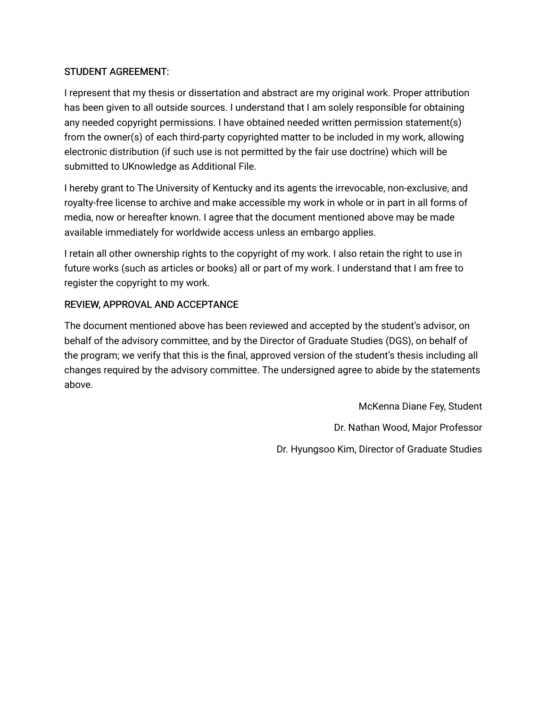# STUDENT AGREEMENT:

I represent that my thesis or dissertation and abstract are my original work. Proper attribution has been given to all outside sources. I understand that I am solely responsible for obtaining any needed copyright permissions. I have obtained needed written permission statement(s) from the owner(s) of each third-party copyrighted matter to be included in my work, allowing electronic distribution (if such use is not permitted by the fair use doctrine) which will be submitted to UKnowledge as Additional File.

I hereby grant to The University of Kentucky and its agents the irrevocable, non-exclusive, and royalty-free license to archive and make accessible my work in whole or in part in all forms of media, now or hereafter known. I agree that the document mentioned above may be made available immediately for worldwide access unless an embargo applies.

I retain all other ownership rights to the copyright of my work. I also retain the right to use in future works (such as articles or books) all or part of my work. I understand that I am free to register the copyright to my work.

# REVIEW, APPROVAL AND ACCEPTANCE

The document mentioned above has been reviewed and accepted by the student's advisor, on behalf of the advisory committee, and by the Director of Graduate Studies (DGS), on behalf of the program; we verify that this is the final, approved version of the student's thesis including all changes required by the advisory committee. The undersigned agree to abide by the statements above.

> McKenna Diane Fey, Student Dr. Nathan Wood, Major Professor Dr. Hyungsoo Kim, Director of Graduate Studies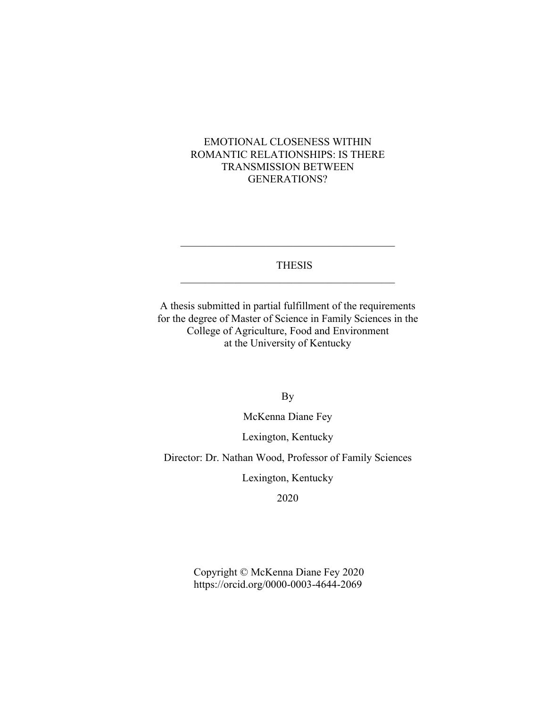# EMOTIONAL CLOSENESS WITHIN ROMANTIC RELATIONSHIPS: IS THERE TRANSMISSION BETWEEN GENERATIONS?

### THESIS

 $\overline{\phantom{a}}$  , and the set of the set of the set of the set of the set of the set of the set of the set of the set of the set of the set of the set of the set of the set of the set of the set of the set of the set of the s

 $\overline{\phantom{a}}$  , and the set of the set of the set of the set of the set of the set of the set of the set of the set of the set of the set of the set of the set of the set of the set of the set of the set of the set of the s

A thesis submitted in partial fulfillment of the requirements for the degree of Master of Science in Family Sciences in the College of Agriculture, Food and Environment at the University of Kentucky

By

McKenna Diane Fey

Lexington, Kentucky

Director: Dr. Nathan Wood, Professor of Family Sciences

Lexington, Kentucky

2020

Copyright © McKenna Diane Fey 2020 https://orcid.org/0000-0003-4644-2069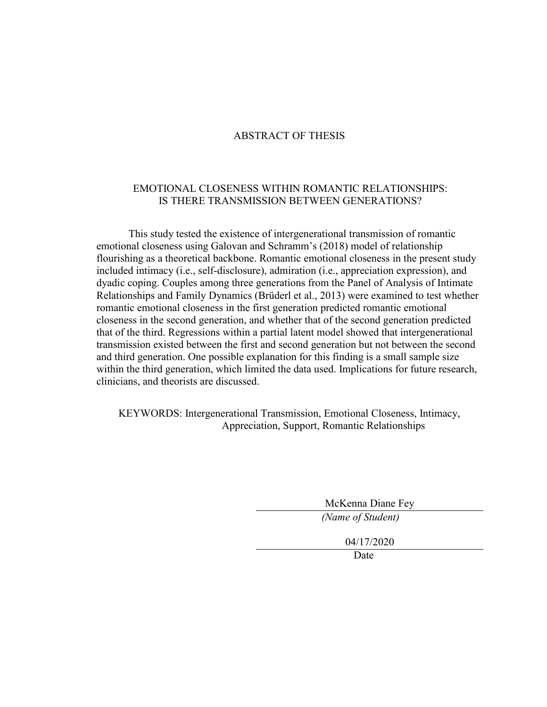### ABSTRACT OF THESIS

### EMOTIONAL CLOSENESS WITHIN ROMANTIC RELATIONSHIPS: IS THERE TRANSMISSION BETWEEN GENERATIONS?

This study tested the existence of intergenerational transmission of romantic emotional closeness using Galovan and Schramm's (2018) model of relationship flourishing as a theoretical backbone. Romantic emotional closeness in the present study included intimacy (i.e., self-disclosure), admiration (i.e., appreciation expression), and dyadic coping. Couples among three generations from the Panel of Analysis of Intimate Relationships and Family Dynamics (Brüderl et al., 2013) were examined to test whether romantic emotional closeness in the first generation predicted romantic emotional closeness in the second generation, and whether that of the second generation predicted that of the third. Regressions within a partial latent model showed that intergenerational transmission existed between the first and second generation but not between the second and third generation. One possible explanation for this finding is a small sample size within the third generation, which limited the data used. Implications for future research, clinicians, and theorists are discussed.

KEYWORDS: Intergenerational Transmission, Emotional Closeness, Intimacy, Appreciation, Support, Romantic Relationships

McKenna Diane Fey

*(Name of Student)*

04/17/2020

Date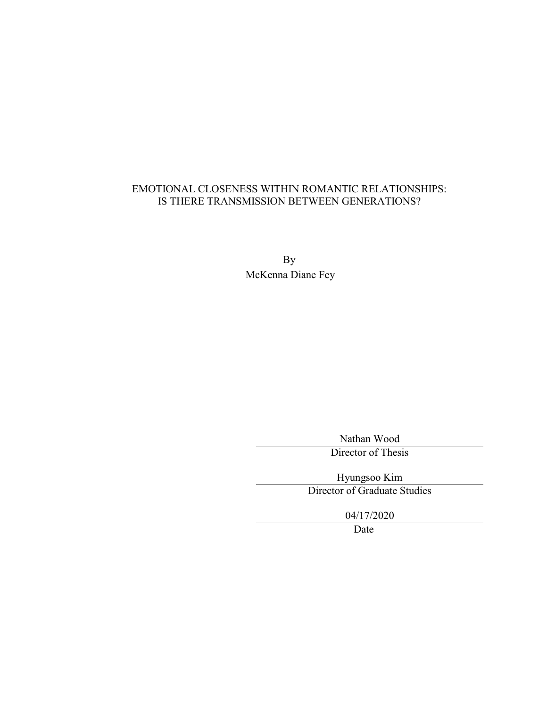# EMOTIONAL CLOSENESS WITHIN ROMANTIC RELATIONSHIPS: IS THERE TRANSMISSION BETWEEN GENERATIONS?

By McKenna Diane Fey

Nathan Wood

Director of Thesis

Hyungsoo Kim

Director of Graduate Studies

04/17/2020

Date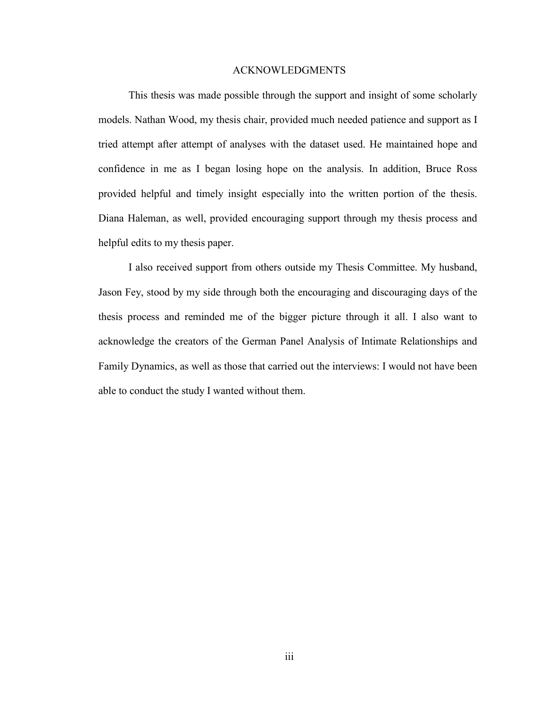#### ACKNOWLEDGMENTS

<span id="page-5-0"></span>This thesis was made possible through the support and insight of some scholarly models. Nathan Wood, my thesis chair, provided much needed patience and support as I tried attempt after attempt of analyses with the dataset used. He maintained hope and confidence in me as I began losing hope on the analysis. In addition, Bruce Ross provided helpful and timely insight especially into the written portion of the thesis. Diana Haleman, as well, provided encouraging support through my thesis process and helpful edits to my thesis paper.

I also received support from others outside my Thesis Committee. My husband, Jason Fey, stood by my side through both the encouraging and discouraging days of the thesis process and reminded me of the bigger picture through it all. I also want to acknowledge the creators of the German Panel Analysis of Intimate Relationships and Family Dynamics, as well as those that carried out the interviews: I would not have been able to conduct the study I wanted without them.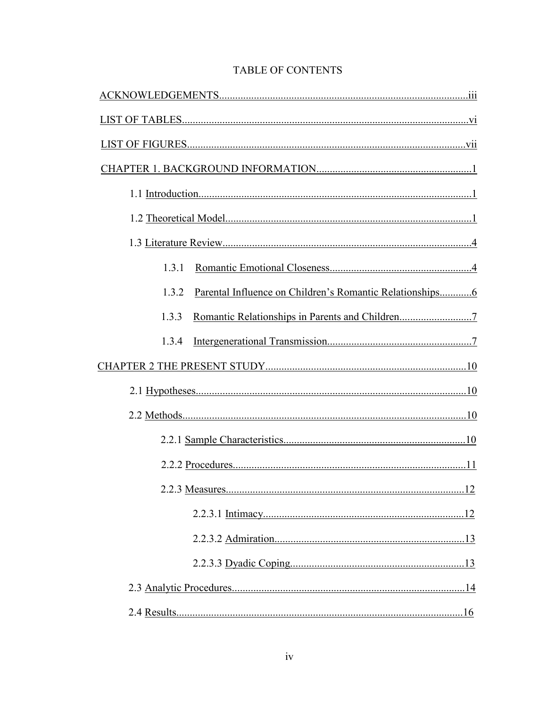| 1.3.1 |  |
|-------|--|
| 1.3.2 |  |
| 1.3.3 |  |
| 1.3.4 |  |
|       |  |
|       |  |
|       |  |
|       |  |
|       |  |
|       |  |
|       |  |
|       |  |
|       |  |
|       |  |
|       |  |

# **TABLE OF CONTENTS**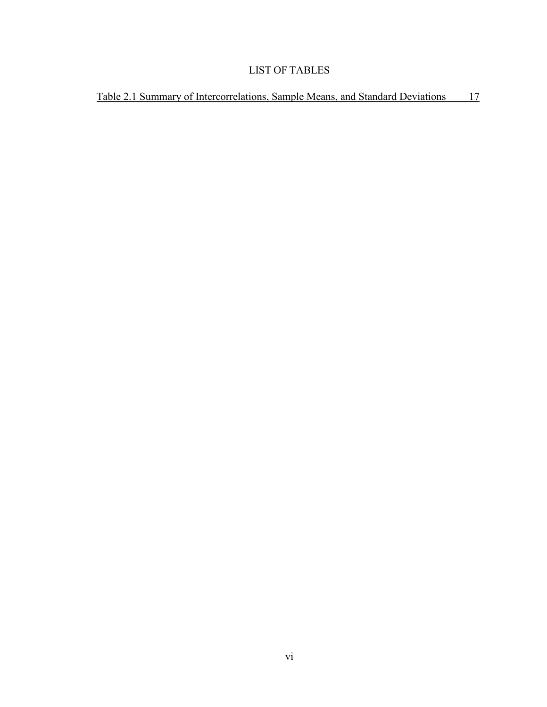# LIST OF TABLES

<span id="page-8-0"></span>[Table 2.1 Summary of Intercorrelations, Sample Means, and Standard Deviations 17](#page-26-0)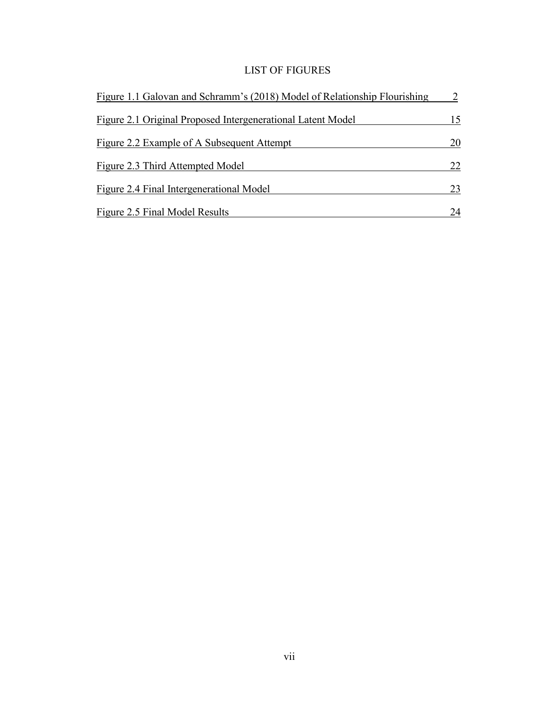# LIST OF FIGURES

<span id="page-9-0"></span>

| Figure 1.1 Galovan and Schramm's (2018) Model of Relationship Flourishing |    |
|---------------------------------------------------------------------------|----|
| Figure 2.1 Original Proposed Intergenerational Latent Model               | 15 |
| Figure 2.2 Example of A Subsequent Attempt                                | 20 |
| Figure 2.3 Third Attempted Model                                          | 22 |
| Figure 2.4 Final Intergenerational Model                                  | 23 |
| Figure 2.5 Final Model Results                                            | 24 |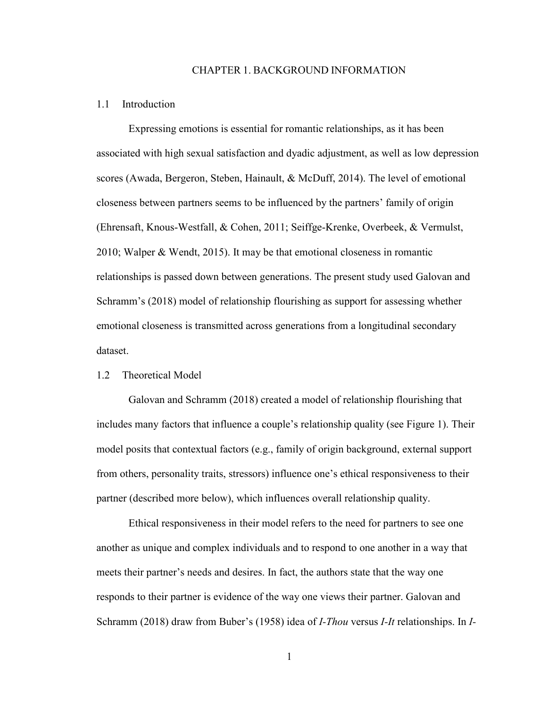#### CHAPTER 1. BACKGROUND INFORMATION

#### <span id="page-10-1"></span><span id="page-10-0"></span>1.1 Introduction

Expressing emotions is essential for romantic relationships, as it has been associated with high sexual satisfaction and dyadic adjustment, as well as low depression scores (Awada, Bergeron, Steben, Hainault, & McDuff, 2014). The level of emotional closeness between partners seems to be influenced by the partners' family of origin (Ehrensaft, Knous-Westfall, & Cohen, 2011; Seiffge-Krenke, Overbeek, & Vermulst, 2010; Walper & Wendt, 2015). It may be that emotional closeness in romantic relationships is passed down between generations. The present study used Galovan and Schramm's (2018) model of relationship flourishing as support for assessing whether emotional closeness is transmitted across generations from a longitudinal secondary dataset.

#### <span id="page-10-2"></span>1.2 Theoretical Model

Galovan and Schramm (2018) created a model of relationship flourishing that includes many factors that influence a couple's relationship quality (see Figure 1). Their model posits that contextual factors (e.g., family of origin background, external support from others, personality traits, stressors) influence one's ethical responsiveness to their partner (described more below), which influences overall relationship quality.

Ethical responsiveness in their model refers to the need for partners to see one another as unique and complex individuals and to respond to one another in a way that meets their partner's needs and desires. In fact, the authors state that the way one responds to their partner is evidence of the way one views their partner. Galovan and Schramm (2018) draw from Buber's (1958) idea of *I-Thou* versus *I-It* relationships. In *I-*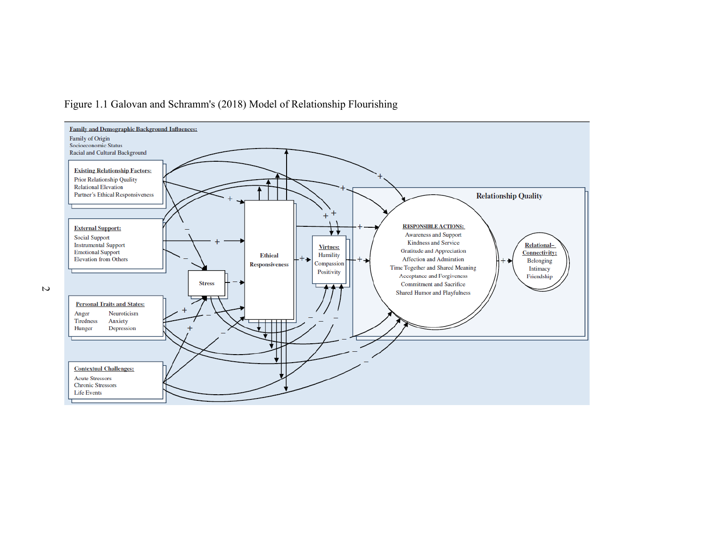

# Figure 1.1 Galovan and Schramm's (2018) Model of Relationship Flourishing

<span id="page-11-0"></span> $\overline{z}$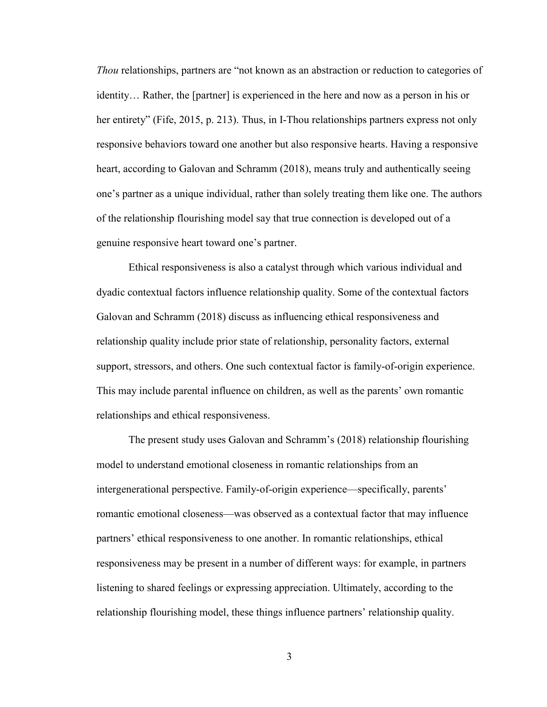*Thou* relationships, partners are "not known as an abstraction or reduction to categories of identity… Rather, the [partner] is experienced in the here and now as a person in his or her entirety" (Fife, 2015, p. 213). Thus, in I-Thou relationships partners express not only responsive behaviors toward one another but also responsive hearts. Having a responsive heart, according to Galovan and Schramm (2018), means truly and authentically seeing one's partner as a unique individual, rather than solely treating them like one. The authors of the relationship flourishing model say that true connection is developed out of a genuine responsive heart toward one's partner.

Ethical responsiveness is also a catalyst through which various individual and dyadic contextual factors influence relationship quality. Some of the contextual factors Galovan and Schramm (2018) discuss as influencing ethical responsiveness and relationship quality include prior state of relationship, personality factors, external support, stressors, and others. One such contextual factor is family-of-origin experience. This may include parental influence on children, as well as the parents' own romantic relationships and ethical responsiveness.

The present study uses Galovan and Schramm's (2018) relationship flourishing model to understand emotional closeness in romantic relationships from an intergenerational perspective. Family-of-origin experience—specifically, parents' romantic emotional closeness—was observed as a contextual factor that may influence partners' ethical responsiveness to one another. In romantic relationships, ethical responsiveness may be present in a number of different ways: for example, in partners listening to shared feelings or expressing appreciation. Ultimately, according to the relationship flourishing model, these things influence partners' relationship quality.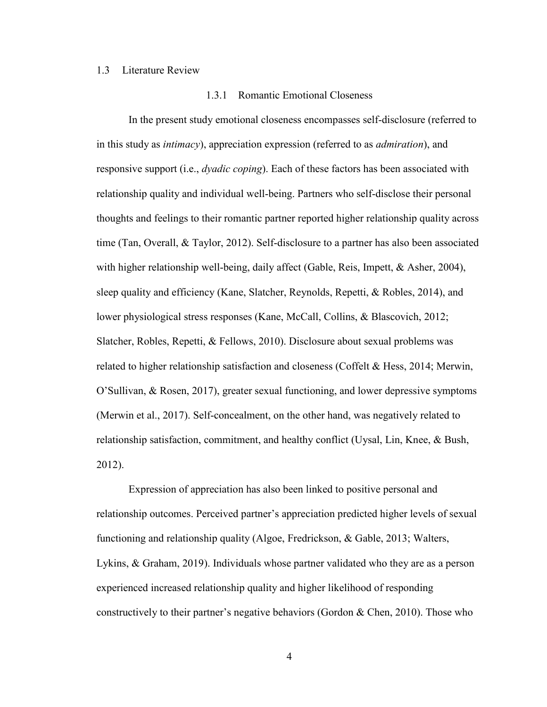#### <span id="page-13-1"></span><span id="page-13-0"></span>1.3 Literature Review

#### 1.3.1 Romantic Emotional Closeness

In the present study emotional closeness encompasses self-disclosure (referred to in this study as *intimacy*), appreciation expression (referred to as *admiration*), and responsive support (i.e., *dyadic coping*). Each of these factors has been associated with relationship quality and individual well-being. Partners who self-disclose their personal thoughts and feelings to their romantic partner reported higher relationship quality across time (Tan, Overall, & Taylor, 2012). Self-disclosure to a partner has also been associated with higher relationship well-being, daily affect (Gable, Reis, Impett, & Asher, 2004), sleep quality and efficiency (Kane, Slatcher, Reynolds, Repetti, & Robles, 2014), and lower physiological stress responses (Kane, McCall, Collins, & Blascovich, 2012; Slatcher, Robles, Repetti, & Fellows, 2010). Disclosure about sexual problems was related to higher relationship satisfaction and closeness (Coffelt & Hess, 2014; Merwin, O'Sullivan, & Rosen, 2017), greater sexual functioning, and lower depressive symptoms (Merwin et al., 2017). Self-concealment, on the other hand, was negatively related to relationship satisfaction, commitment, and healthy conflict (Uysal, Lin, Knee, & Bush, 2012).

Expression of appreciation has also been linked to positive personal and relationship outcomes. Perceived partner's appreciation predicted higher levels of sexual functioning and relationship quality (Algoe, Fredrickson, & Gable, 2013; Walters, Lykins, & Graham, 2019). Individuals whose partner validated who they are as a person experienced increased relationship quality and higher likelihood of responding constructively to their partner's negative behaviors (Gordon & Chen, 2010). Those who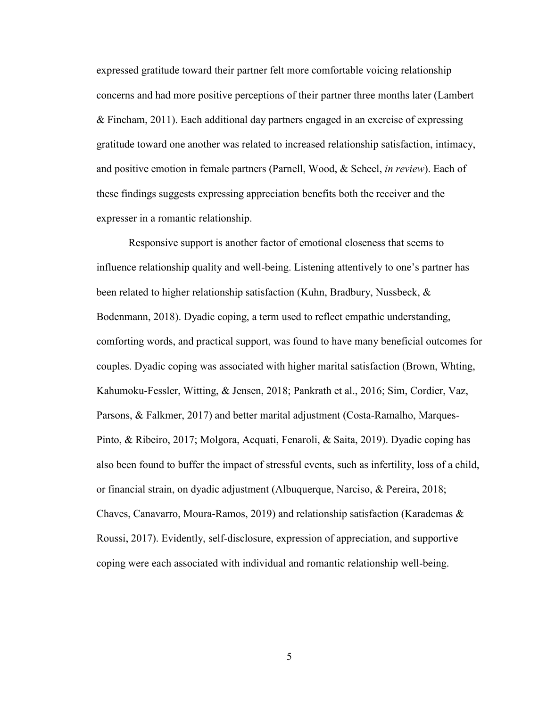expressed gratitude toward their partner felt more comfortable voicing relationship concerns and had more positive perceptions of their partner three months later (Lambert & Fincham, 2011). Each additional day partners engaged in an exercise of expressing gratitude toward one another was related to increased relationship satisfaction, intimacy, and positive emotion in female partners (Parnell, Wood, & Scheel, *in review*). Each of these findings suggests expressing appreciation benefits both the receiver and the expresser in a romantic relationship.

Responsive support is another factor of emotional closeness that seems to influence relationship quality and well-being. Listening attentively to one's partner has been related to higher relationship satisfaction (Kuhn, Bradbury, Nussbeck, & Bodenmann, 2018). Dyadic coping, a term used to reflect empathic understanding, comforting words, and practical support, was found to have many beneficial outcomes for couples. Dyadic coping was associated with higher marital satisfaction (Brown, Whting, Kahumoku-Fessler, Witting, & Jensen, 2018; Pankrath et al., 2016; Sim, Cordier, Vaz, Parsons, & Falkmer, 2017) and better marital adjustment (Costa-Ramalho, Marques-Pinto, & Ribeiro, 2017; Molgora, Acquati, Fenaroli, & Saita, 2019). Dyadic coping has also been found to buffer the impact of stressful events, such as infertility, loss of a child, or financial strain, on dyadic adjustment (Albuquerque, Narciso, & Pereira, 2018; Chaves, Canavarro, Moura-Ramos, 2019) and relationship satisfaction (Karademas  $\&$ Roussi, 2017). Evidently, self-disclosure, expression of appreciation, and supportive coping were each associated with individual and romantic relationship well-being.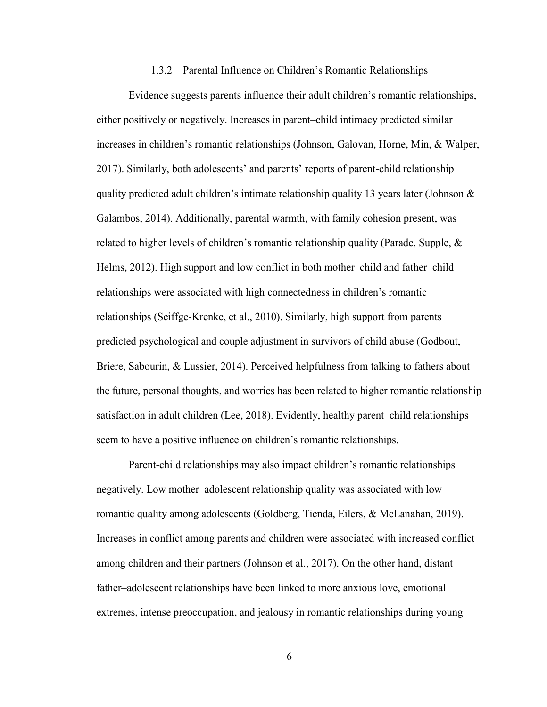#### 1.3.2 Parental Influence on Children's Romantic Relationships

<span id="page-15-0"></span>Evidence suggests parents influence their adult children's romantic relationships, either positively or negatively. Increases in parent–child intimacy predicted similar increases in children's romantic relationships (Johnson, Galovan, Horne, Min, & Walper, 2017). Similarly, both adolescents' and parents' reports of parent-child relationship quality predicted adult children's intimate relationship quality 13 years later (Johnson  $\&$ Galambos, 2014). Additionally, parental warmth, with family cohesion present, was related to higher levels of children's romantic relationship quality (Parade, Supple,  $\&$ Helms, 2012). High support and low conflict in both mother–child and father–child relationships were associated with high connectedness in children's romantic relationships (Seiffge-Krenke, et al., 2010). Similarly, high support from parents predicted psychological and couple adjustment in survivors of child abuse (Godbout, Briere, Sabourin, & Lussier, 2014). Perceived helpfulness from talking to fathers about the future, personal thoughts, and worries has been related to higher romantic relationship satisfaction in adult children (Lee, 2018). Evidently, healthy parent–child relationships seem to have a positive influence on children's romantic relationships.

Parent-child relationships may also impact children's romantic relationships negatively. Low mother–adolescent relationship quality was associated with low romantic quality among adolescents (Goldberg, Tienda, Eilers, & McLanahan, 2019). Increases in conflict among parents and children were associated with increased conflict among children and their partners (Johnson et al., 2017). On the other hand, distant father–adolescent relationships have been linked to more anxious love, emotional extremes, intense preoccupation, and jealousy in romantic relationships during young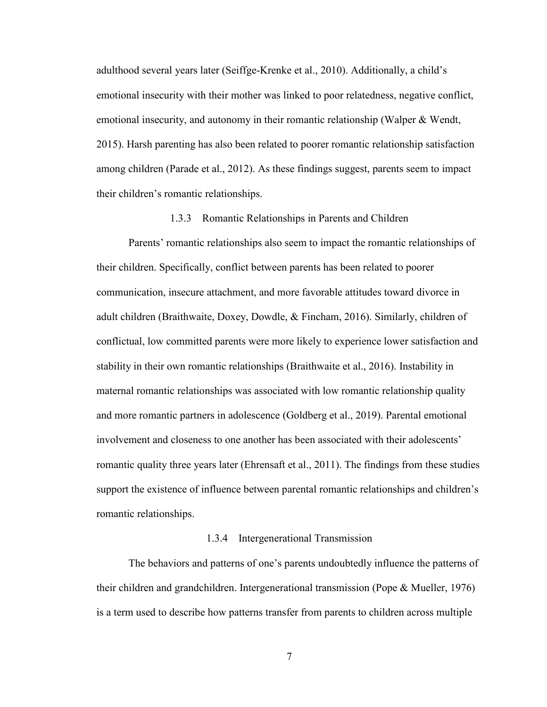adulthood several years later (Seiffge-Krenke et al., 2010). Additionally, a child's emotional insecurity with their mother was linked to poor relatedness, negative conflict, emotional insecurity, and autonomy in their romantic relationship (Walper & Wendt, 2015). Harsh parenting has also been related to poorer romantic relationship satisfaction among children (Parade et al., 2012). As these findings suggest, parents seem to impact their children's romantic relationships.

#### 1.3.3 Romantic Relationships in Parents and Children

<span id="page-16-0"></span>Parents' romantic relationships also seem to impact the romantic relationships of their children. Specifically, conflict between parents has been related to poorer communication, insecure attachment, and more favorable attitudes toward divorce in adult children (Braithwaite, Doxey, Dowdle, & Fincham, 2016). Similarly, children of conflictual, low committed parents were more likely to experience lower satisfaction and stability in their own romantic relationships (Braithwaite et al., 2016). Instability in maternal romantic relationships was associated with low romantic relationship quality and more romantic partners in adolescence (Goldberg et al., 2019). Parental emotional involvement and closeness to one another has been associated with their adolescents' romantic quality three years later (Ehrensaft et al., 2011). The findings from these studies support the existence of influence between parental romantic relationships and children's romantic relationships.

#### 1.3.4 Intergenerational Transmission

<span id="page-16-1"></span>The behaviors and patterns of one's parents undoubtedly influence the patterns of their children and grandchildren. Intergenerational transmission (Pope & Mueller, 1976) is a term used to describe how patterns transfer from parents to children across multiple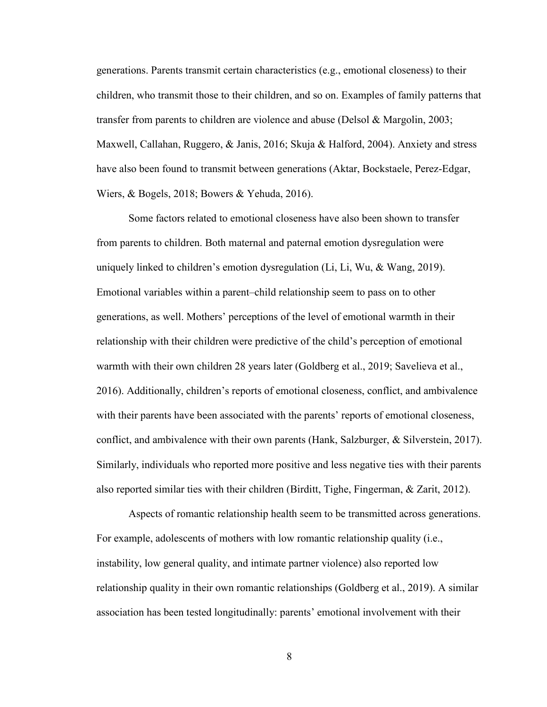generations. Parents transmit certain characteristics (e.g., emotional closeness) to their children, who transmit those to their children, and so on. Examples of family patterns that transfer from parents to children are violence and abuse (Delsol & Margolin, 2003; Maxwell, Callahan, Ruggero, & Janis, 2016; Skuja & Halford, 2004). Anxiety and stress have also been found to transmit between generations (Aktar, Bockstaele, Perez-Edgar, Wiers, & Bogels, 2018; Bowers & Yehuda, 2016).

Some factors related to emotional closeness have also been shown to transfer from parents to children. Both maternal and paternal emotion dysregulation were uniquely linked to children's emotion dysregulation (Li, Li, Wu, & Wang, 2019). Emotional variables within a parent–child relationship seem to pass on to other generations, as well. Mothers' perceptions of the level of emotional warmth in their relationship with their children were predictive of the child's perception of emotional warmth with their own children 28 years later (Goldberg et al., 2019; Savelieva et al., 2016). Additionally, children's reports of emotional closeness, conflict, and ambivalence with their parents have been associated with the parents' reports of emotional closeness, conflict, and ambivalence with their own parents (Hank, Salzburger, & Silverstein, 2017). Similarly, individuals who reported more positive and less negative ties with their parents also reported similar ties with their children (Birditt, Tighe, Fingerman, & Zarit, 2012).

Aspects of romantic relationship health seem to be transmitted across generations. For example, adolescents of mothers with low romantic relationship quality (i.e., instability, low general quality, and intimate partner violence) also reported low relationship quality in their own romantic relationships (Goldberg et al., 2019). A similar association has been tested longitudinally: parents' emotional involvement with their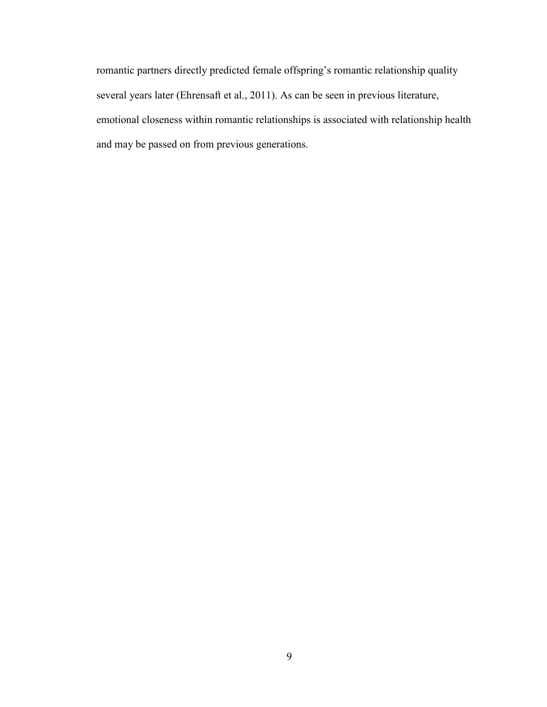romantic partners directly predicted female offspring's romantic relationship quality several years later (Ehrensaft et al., 2011). As can be seen in previous literature, emotional closeness within romantic relationships is associated with relationship health and may be passed on from previous generations.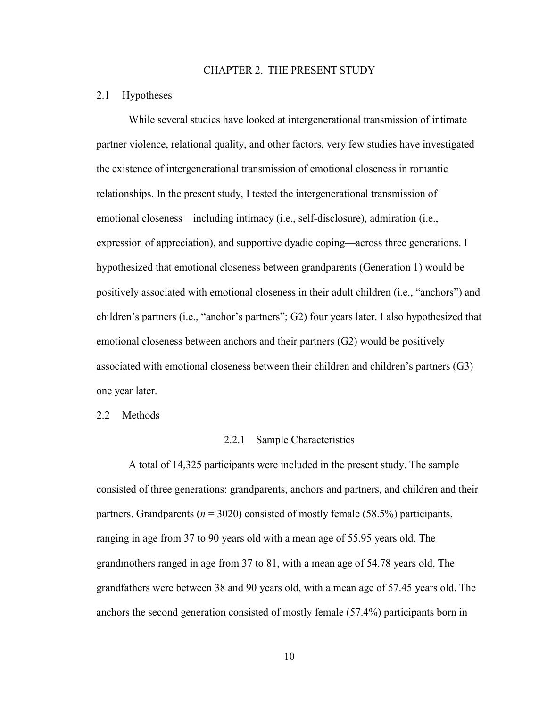#### CHAPTER 2. THE PRESENT STUDY

#### <span id="page-19-1"></span><span id="page-19-0"></span>2.1 Hypotheses

While several studies have looked at intergenerational transmission of intimate partner violence, relational quality, and other factors, very few studies have investigated the existence of intergenerational transmission of emotional closeness in romantic relationships. In the present study, I tested the intergenerational transmission of emotional closeness—including intimacy (i.e., self-disclosure), admiration (i.e., expression of appreciation), and supportive dyadic coping—across three generations. I hypothesized that emotional closeness between grandparents (Generation 1) would be positively associated with emotional closeness in their adult children (i.e., "anchors") and children's partners (i.e., "anchor's partners"; G2) four years later. I also hypothesized that emotional closeness between anchors and their partners (G2) would be positively associated with emotional closeness between their children and children's partners (G3) one year later.

<span id="page-19-3"></span><span id="page-19-2"></span>2.2 Methods

#### 2.2.1 Sample Characteristics

A total of 14,325 participants were included in the present study. The sample consisted of three generations: grandparents, anchors and partners, and children and their partners. Grandparents (*n* = 3020) consisted of mostly female (58.5%) participants, ranging in age from 37 to 90 years old with a mean age of 55.95 years old. The grandmothers ranged in age from 37 to 81, with a mean age of 54.78 years old. The grandfathers were between 38 and 90 years old, with a mean age of 57.45 years old. The anchors the second generation consisted of mostly female (57.4%) participants born in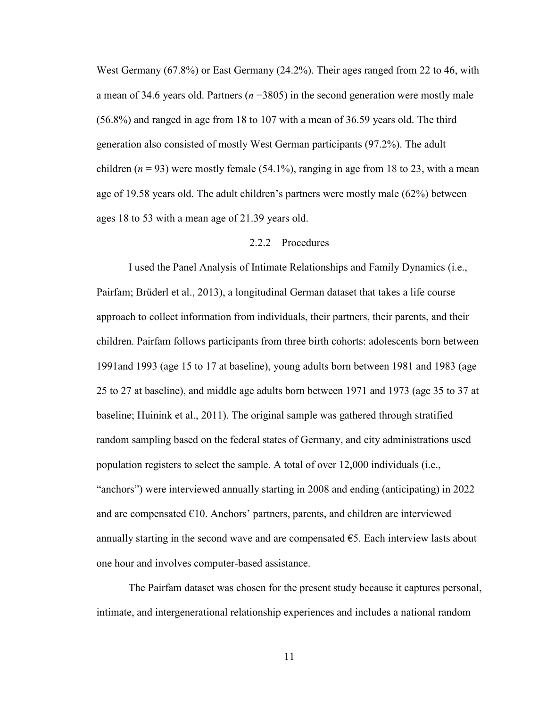West Germany (67.8%) or East Germany (24.2%). Their ages ranged from 22 to 46, with a mean of 34.6 years old. Partners (*n* =3805) in the second generation were mostly male (56.8%) and ranged in age from 18 to 107 with a mean of 36.59 years old. The third generation also consisted of mostly West German participants (97.2%). The adult children  $(n = 93)$  were mostly female (54.1%), ranging in age from 18 to 23, with a mean age of 19.58 years old. The adult children's partners were mostly male (62%) between ages 18 to 53 with a mean age of 21.39 years old.

#### 2.2.2 Procedures

<span id="page-20-0"></span>I used the Panel Analysis of Intimate Relationships and Family Dynamics (i.e., Pairfam; Brüderl et al., 2013), a longitudinal German dataset that takes a life course approach to collect information from individuals, their partners, their parents, and their children. Pairfam follows participants from three birth cohorts: adolescents born between 1991and 1993 (age 15 to 17 at baseline), young adults born between 1981 and 1983 (age 25 to 27 at baseline), and middle age adults born between 1971 and 1973 (age 35 to 37 at baseline; Huinink et al., 2011). The original sample was gathered through stratified random sampling based on the federal states of Germany, and city administrations used population registers to select the sample. A total of over 12,000 individuals (i.e., "anchors") were interviewed annually starting in 2008 and ending (anticipating) in 2022 and are compensated  $E10$ . Anchors' partners, parents, and children are interviewed annually starting in the second wave and are compensated  $\epsilon$ 5. Each interview lasts about one hour and involves computer-based assistance.

The Pairfam dataset was chosen for the present study because it captures personal, intimate, and intergenerational relationship experiences and includes a national random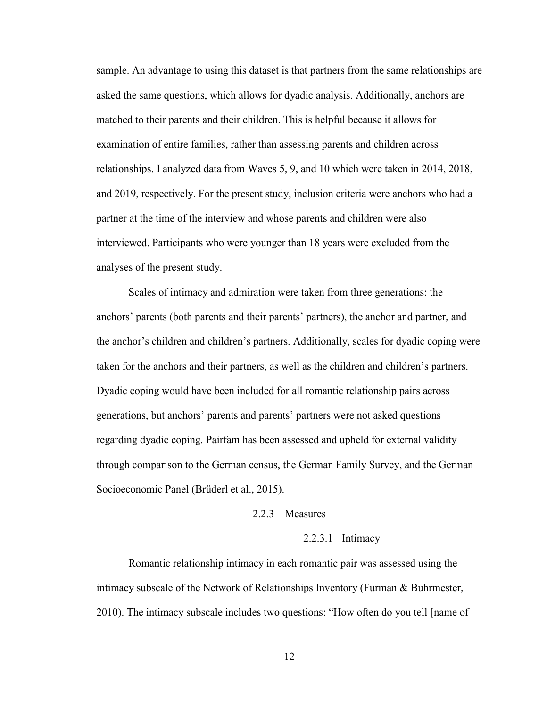sample. An advantage to using this dataset is that partners from the same relationships are asked the same questions, which allows for dyadic analysis. Additionally, anchors are matched to their parents and their children. This is helpful because it allows for examination of entire families, rather than assessing parents and children across relationships. I analyzed data from Waves 5, 9, and 10 which were taken in 2014, 2018, and 2019, respectively. For the present study, inclusion criteria were anchors who had a partner at the time of the interview and whose parents and children were also interviewed. Participants who were younger than 18 years were excluded from the analyses of the present study.

Scales of intimacy and admiration were taken from three generations: the anchors' parents (both parents and their parents' partners), the anchor and partner, and the anchor's children and children's partners. Additionally, scales for dyadic coping were taken for the anchors and their partners, as well as the children and children's partners. Dyadic coping would have been included for all romantic relationship pairs across generations, but anchors' parents and parents' partners were not asked questions regarding dyadic coping. Pairfam has been assessed and upheld for external validity through comparison to the German census, the German Family Survey, and the German Socioeconomic Panel (Brüderl et al., 2015).

#### 2.2.3 Measures

#### 2.2.3.1 Intimacy

<span id="page-21-1"></span><span id="page-21-0"></span>Romantic relationship intimacy in each romantic pair was assessed using the intimacy subscale of the Network of Relationships Inventory (Furman & Buhrmester, 2010). The intimacy subscale includes two questions: "How often do you tell [name of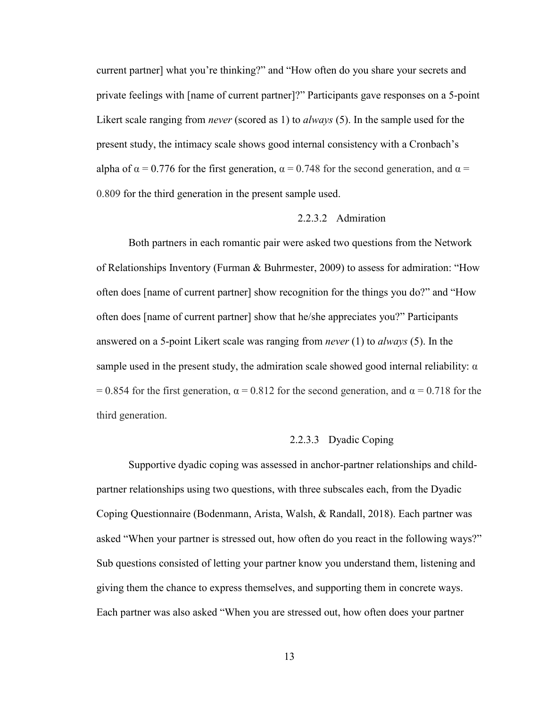current partner] what you're thinking?" and "How often do you share your secrets and private feelings with [name of current partner]?" Participants gave responses on a 5-point Likert scale ranging from *never* (scored as 1) to *always* (5). In the sample used for the present study, the intimacy scale shows good internal consistency with a Cronbach's alpha of  $\alpha = 0.776$  for the first generation,  $\alpha = 0.748$  for the second generation, and  $\alpha =$ 0.809 for the third generation in the present sample used.

#### 2.2.3.2 Admiration

<span id="page-22-0"></span>Both partners in each romantic pair were asked two questions from the Network of Relationships Inventory (Furman & Buhrmester, 2009) to assess for admiration: "How often does [name of current partner] show recognition for the things you do?" and "How often does [name of current partner] show that he/she appreciates you?" Participants answered on a 5-point Likert scale was ranging from *never* (1) to *always* (5). In the sample used in the present study, the admiration scale showed good internal reliability:  $\alpha$ = 0.854 for the first generation,  $\alpha$  = 0.812 for the second generation, and  $\alpha$  = 0.718 for the third generation.

### 2.2.3.3 Dyadic Coping

<span id="page-22-1"></span>Supportive dyadic coping was assessed in anchor-partner relationships and childpartner relationships using two questions, with three subscales each, from the Dyadic Coping Questionnaire (Bodenmann, Arista, Walsh, & Randall, 2018). Each partner was asked "When your partner is stressed out, how often do you react in the following ways?" Sub questions consisted of letting your partner know you understand them, listening and giving them the chance to express themselves, and supporting them in concrete ways. Each partner was also asked "When you are stressed out, how often does your partner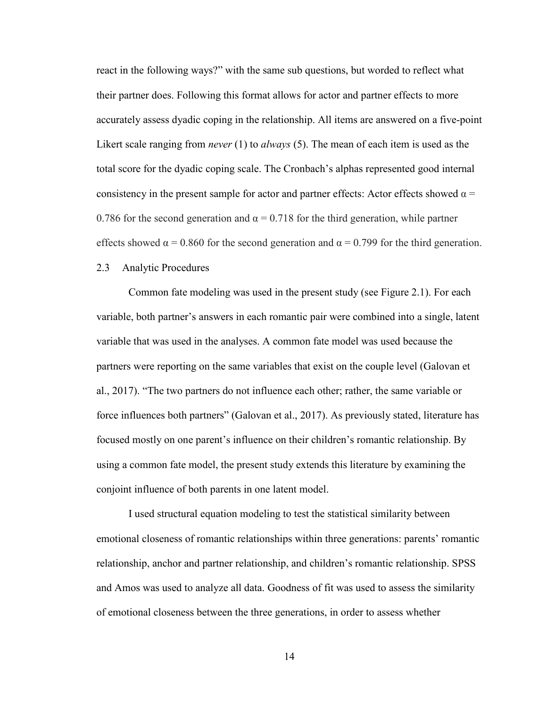react in the following ways?" with the same sub questions, but worded to reflect what their partner does. Following this format allows for actor and partner effects to more accurately assess dyadic coping in the relationship. All items are answered on a five-point Likert scale ranging from *never* (1) to *always* (5). The mean of each item is used as the total score for the dyadic coping scale. The Cronbach's alphas represented good internal consistency in the present sample for actor and partner effects: Actor effects showed  $\alpha$  = 0.786 for the second generation and  $\alpha = 0.718$  for the third generation, while partner effects showed  $\alpha = 0.860$  for the second generation and  $\alpha = 0.799$  for the third generation.

#### <span id="page-23-0"></span>2.3 Analytic Procedures

Common fate modeling was used in the present study (see Figure 2.1). For each variable, both partner's answers in each romantic pair were combined into a single, latent variable that was used in the analyses. A common fate model was used because the partners were reporting on the same variables that exist on the couple level (Galovan et al., 2017). "The two partners do not influence each other; rather, the same variable or force influences both partners" (Galovan et al., 2017). As previously stated, literature has focused mostly on one parent's influence on their children's romantic relationship. By using a common fate model, the present study extends this literature by examining the conjoint influence of both parents in one latent model.

I used structural equation modeling to test the statistical similarity between emotional closeness of romantic relationships within three generations: parents' romantic relationship, anchor and partner relationship, and children's romantic relationship. SPSS and Amos was used to analyze all data. Goodness of fit was used to assess the similarity of emotional closeness between the three generations, in order to assess whether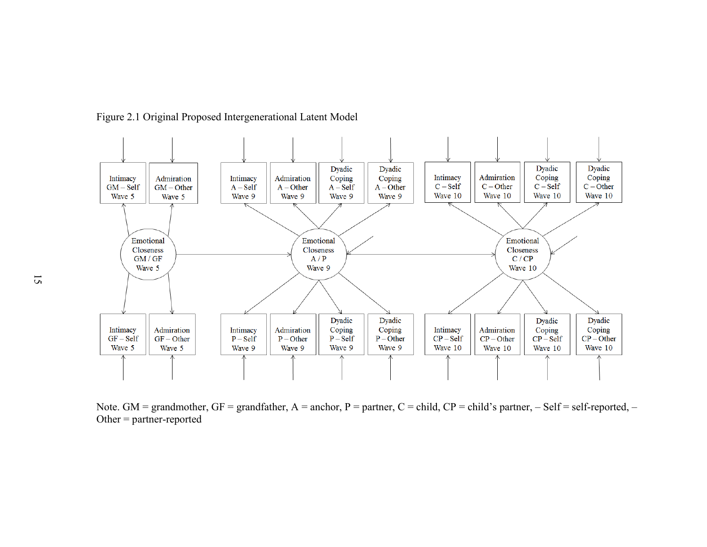

Figure 2.1 Original Proposed Intergenerational Latent Model

<span id="page-24-0"></span>Note. GM = grandmother, GF = grandfather,  $A =$  anchor, P = partner, C = child, CP = child's partner, – Self = self-reported, – Other = partner-reported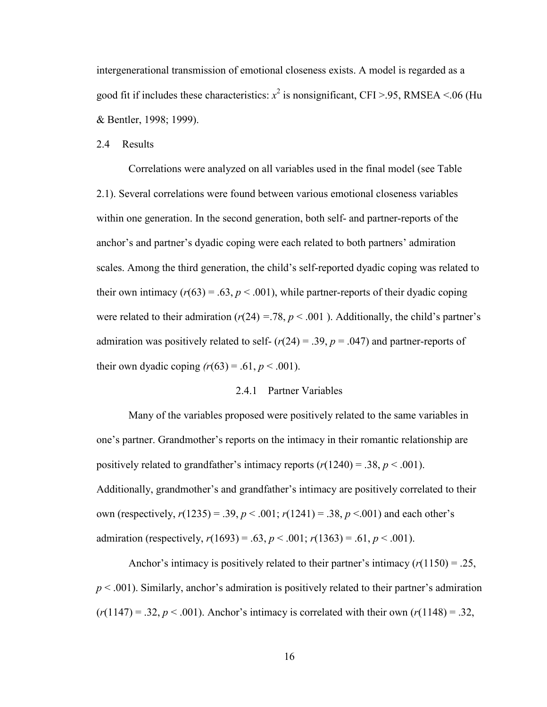intergenerational transmission of emotional closeness exists. A model is regarded as a good fit if includes these characteristics:  $x^2$  is nonsignificant, CFI >.95, RMSEA <.06 (Hu & Bentler, 1998; 1999).

<span id="page-25-0"></span>2.4 Results

Correlations were analyzed on all variables used in the final model (see Table 2.1). Several correlations were found between various emotional closeness variables within one generation. In the second generation, both self- and partner-reports of the anchor's and partner's dyadic coping were each related to both partners' admiration scales. Among the third generation, the child's self-reported dyadic coping was related to their own intimacy  $(r(63) = .63, p < .001)$ , while partner-reports of their dyadic coping were related to their admiration  $(r(24) = 78, p < .001)$ . Additionally, the child's partner's admiration was positively related to self-  $(r(24) = .39, p = .047)$  and partner-reports of their own dyadic coping  $(r(63) = .61, p < .001)$ .

#### 2.4.1 Partner Variables

<span id="page-25-1"></span>Many of the variables proposed were positively related to the same variables in one's partner. Grandmother's reports on the intimacy in their romantic relationship are positively related to grandfather's intimacy reports  $(r(1240) = .38, p < .001)$ . Additionally, grandmother's and grandfather's intimacy are positively correlated to their own (respectively,  $r(1235) = .39$ ,  $p < .001$ ;  $r(1241) = .38$ ,  $p < .001$ ) and each other's admiration (respectively,  $r(1693) = .63$ ,  $p < .001$ ;  $r(1363) = .61$ ,  $p < .001$ ).

Anchor's intimacy is positively related to their partner's intimacy  $(r(1150) = .25$ ,  $p < .001$ ). Similarly, anchor's admiration is positively related to their partner's admiration  $(r(1147) = .32, p < .001)$ . Anchor's intimacy is correlated with their own  $(r(1148) = .32, p < .001)$ .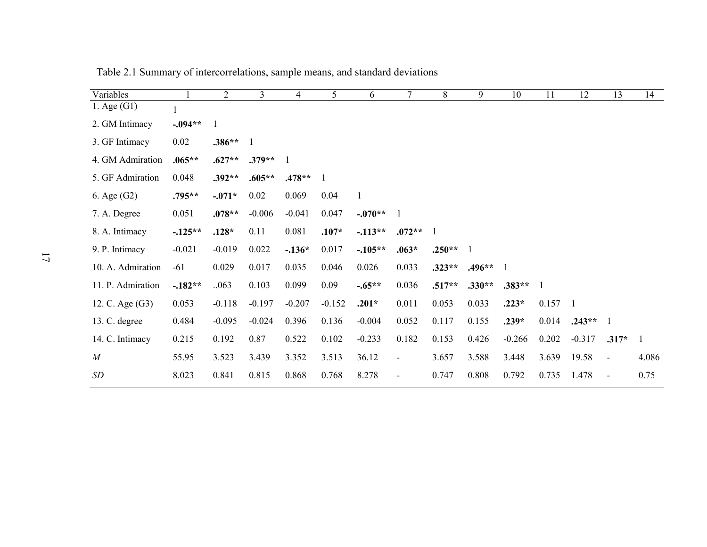<span id="page-26-0"></span>

| Variables         |           | $\overline{2}$ | $\mathfrak{Z}$ | $\overline{\mathcal{A}}$ | 5        | 6            | 7                        | 8        | 9            | 10       | 11    | 12             | 13                       | 14           |
|-------------------|-----------|----------------|----------------|--------------------------|----------|--------------|--------------------------|----------|--------------|----------|-------|----------------|--------------------------|--------------|
| 1. Age $(G1)$     |           |                |                |                          |          |              |                          |          |              |          |       |                |                          |              |
| 2. GM Intimacy    | $-.094**$ | 1              |                |                          |          |              |                          |          |              |          |       |                |                          |              |
| 3. GF Intimacy    | 0.02      | $.386**$       |                |                          |          |              |                          |          |              |          |       |                |                          |              |
| 4. GM Admiration  | $.065**$  | $.627**$       | $.379**$       |                          |          |              |                          |          |              |          |       |                |                          |              |
| 5. GF Admiration  | 0.048     | $.392**$       | $.605**$       | $.478**$                 | 1        |              |                          |          |              |          |       |                |                          |              |
| 6. Age (G2)       | .795**    | $-.071*$       | 0.02           | 0.069                    | 0.04     | $\mathbf{1}$ |                          |          |              |          |       |                |                          |              |
| 7. A. Degree      | 0.051     | $.078**$       | $-0.006$       | $-0.041$                 | 0.047    | $-.070**$    | 1                        |          |              |          |       |                |                          |              |
| 8. A. Intimacy    | $-125**$  | $.128*$        | 0.11           | 0.081                    | $.107*$  | $-113**$     | $.072**$                 | -1       |              |          |       |                |                          |              |
| 9. P. Intimacy    | $-0.021$  | $-0.019$       | 0.022          | $-.136*$                 | 0.017    | $-.105**$    | $.063*$                  | $.250**$ | $\mathbf{1}$ |          |       |                |                          |              |
| 10. A. Admiration | $-61$     | 0.029          | 0.017          | 0.035                    | 0.046    | 0.026        | 0.033                    | $.323**$ | $.496**$     | 1        |       |                |                          |              |
| 11. P. Admiration | $-.182**$ | 063            | 0.103          | 0.099                    | 0.09     | $-.65**$     | 0.036                    | $.517**$ | $.330**$     | $.383**$ |       |                |                          |              |
| 12. C. Age (G3)   | 0.053     | $-0.118$       | $-0.197$       | $-0.207$                 | $-0.152$ | $.201*$      | 0.011                    | 0.053    | 0.033        | $.223*$  | 0.157 | $\overline{1}$ |                          |              |
| 13. C. degree     | 0.484     | $-0.095$       | $-0.024$       | 0.396                    | 0.136    | $-0.004$     | 0.052                    | 0.117    | 0.155        | $.239*$  | 0.014 | $.243**$       | 1                        |              |
| 14. C. Intimacy   | 0.215     | 0.192          | 0.87           | 0.522                    | 0.102    | $-0.233$     | 0.182                    | 0.153    | 0.426        | $-0.266$ | 0.202 | $-0.317$       | $.317*$                  | $\mathbf{1}$ |
| $\boldsymbol{M}$  | 55.95     | 3.523          | 3.439          | 3.352                    | 3.513    | 36.12        | $\overline{\phantom{a}}$ | 3.657    | 3.588        | 3.448    | 3.639 | 19.58          | $\overline{\phantom{a}}$ | 4.086        |
| SD                | 8.023     | 0.841          | 0.815          | 0.868                    | 0.768    | 8.278        | $\overline{\phantom{a}}$ | 0.747    | 0.808        | 0.792    | 0.735 | 1.478          | $\overline{\phantom{a}}$ | 0.75         |

Table 2.1 Summary of intercorrelations, sample means, and standard deviations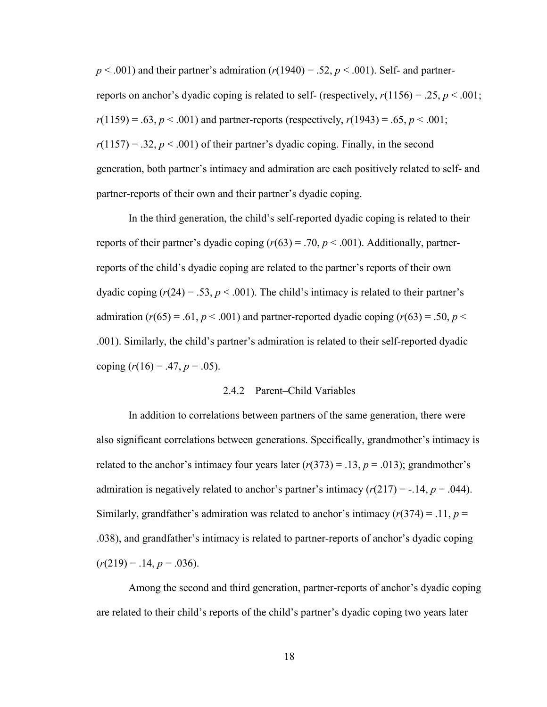$p < .001$ ) and their partner's admiration  $(r(1940) = .52, p < .001)$ . Self- and partnerreports on anchor's dyadic coping is related to self- (respectively,  $r(1156) = .25$ ,  $p < .001$ ;  $r(1159) = .63, p < .001$ ) and partner-reports (respectively,  $r(1943) = .65, p < .001$ ;  $r(1157) = .32$ ,  $p < .001$ ) of their partner's dyadic coping. Finally, in the second generation, both partner's intimacy and admiration are each positively related to self- and partner-reports of their own and their partner's dyadic coping.

In the third generation, the child's self-reported dyadic coping is related to their reports of their partner's dyadic coping  $(r(63) = .70, p < .001)$ . Additionally, partnerreports of the child's dyadic coping are related to the partner's reports of their own dyadic coping  $(r(24) = .53, p < .001)$ . The child's intimacy is related to their partner's admiration ( $r(65) = .61$ ,  $p < .001$ ) and partner-reported dyadic coping ( $r(63) = .50$ ,  $p <$ .001). Similarly, the child's partner's admiration is related to their self-reported dyadic coping  $(r(16) = .47, p = .05)$ .

#### 2.4.2 Parent–Child Variables

<span id="page-27-0"></span>In addition to correlations between partners of the same generation, there were also significant correlations between generations. Specifically, grandmother's intimacy is related to the anchor's intimacy four years later  $(r(373) = .13, p = .013)$ ; grandmother's admiration is negatively related to anchor's partner's intimacy  $(r(217) = -.14, p = .044)$ . Similarly, grandfather's admiration was related to anchor's intimacy  $(r(374) = .11, p =$ .038), and grandfather's intimacy is related to partner-reports of anchor's dyadic coping  $(r(219) = .14, p = .036)$ .

Among the second and third generation, partner-reports of anchor's dyadic coping are related to their child's reports of the child's partner's dyadic coping two years later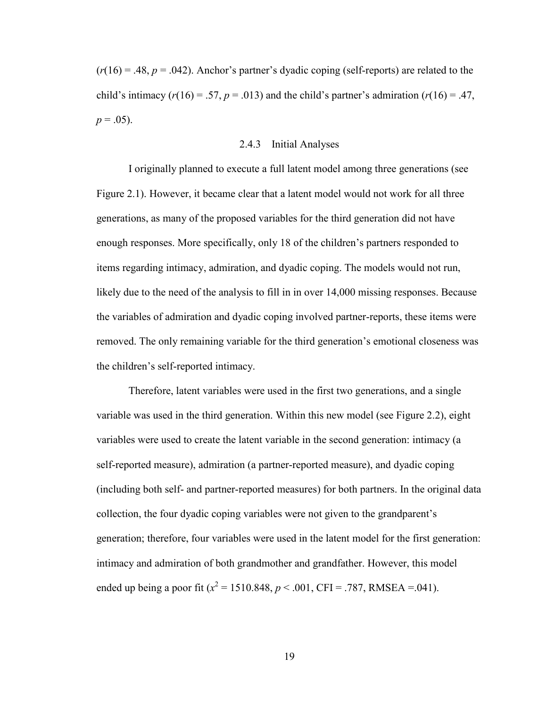$(r(16) = .48, p = .042)$ . Anchor's partner's dyadic coping (self-reports) are related to the child's intimacy  $(r(16) = .57, p = .013)$  and the child's partner's admiration  $(r(16) = .47,$  $p = .05$ ).

#### 2.4.3 Initial Analyses

<span id="page-28-0"></span>I originally planned to execute a full latent model among three generations (see Figure 2.1). However, it became clear that a latent model would not work for all three generations, as many of the proposed variables for the third generation did not have enough responses. More specifically, only 18 of the children's partners responded to items regarding intimacy, admiration, and dyadic coping. The models would not run, likely due to the need of the analysis to fill in in over 14,000 missing responses. Because the variables of admiration and dyadic coping involved partner-reports, these items were removed. The only remaining variable for the third generation's emotional closeness was the children's self-reported intimacy.

Therefore, latent variables were used in the first two generations, and a single variable was used in the third generation. Within this new model (see Figure 2.2), eight variables were used to create the latent variable in the second generation: intimacy (a self-reported measure), admiration (a partner-reported measure), and dyadic coping (including both self- and partner-reported measures) for both partners. In the original data collection, the four dyadic coping variables were not given to the grandparent's generation; therefore, four variables were used in the latent model for the first generation: intimacy and admiration of both grandmother and grandfather. However, this model ended up being a poor fit ( $x^2 = 1510.848$ ,  $p < .001$ , CFI = .787, RMSEA = .041).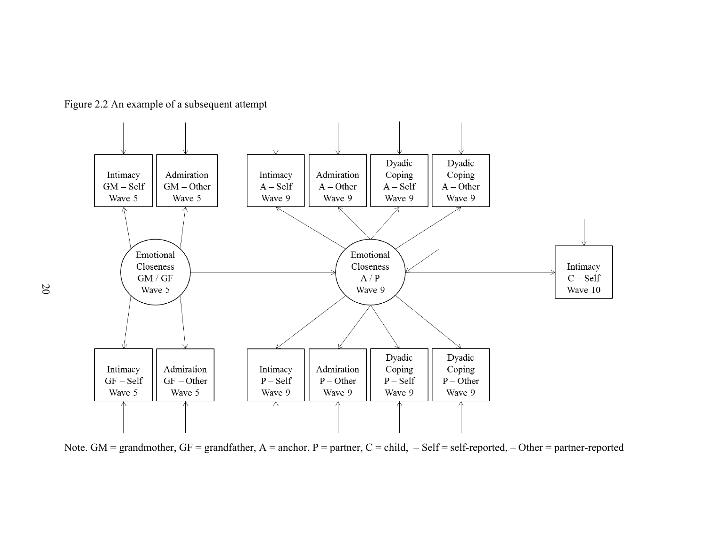

<span id="page-29-0"></span>

Note. GM = grandmother, GF = grandfather, A = anchor, P = partner, C = child,  $-$  Self = self-reported,  $-$  Other = partner-reported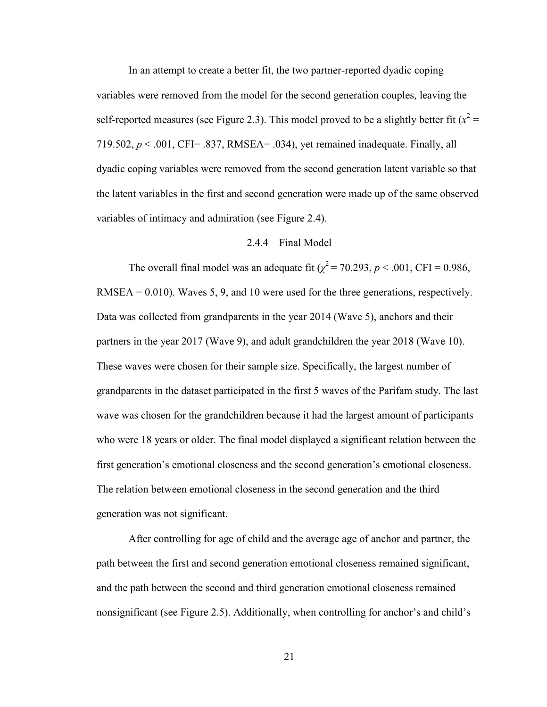In an attempt to create a better fit, the two partner-reported dyadic coping variables were removed from the model for the second generation couples, leaving the self-reported measures (see Figure 2.3). This model proved to be a slightly better fit ( $x^2$  = 719.502,  $p < .001$ , CFI= .837, RMSEA= .034), yet remained inadequate. Finally, all dyadic coping variables were removed from the second generation latent variable so that the latent variables in the first and second generation were made up of the same observed variables of intimacy and admiration (see Figure 2.4).

#### 2.4.4 Final Model

<span id="page-30-0"></span>The overall final model was an adequate fit  $(\chi^2 = 70.293, p < .001, CFI = 0.986,$  $RMSEA = 0.010$ . Waves 5, 9, and 10 were used for the three generations, respectively. Data was collected from grandparents in the year 2014 (Wave 5), anchors and their partners in the year 2017 (Wave 9), and adult grandchildren the year 2018 (Wave 10). These waves were chosen for their sample size. Specifically, the largest number of grandparents in the dataset participated in the first 5 waves of the Parifam study. The last wave was chosen for the grandchildren because it had the largest amount of participants who were 18 years or older. The final model displayed a significant relation between the first generation's emotional closeness and the second generation's emotional closeness. The relation between emotional closeness in the second generation and the third generation was not significant.

After controlling for age of child and the average age of anchor and partner, the path between the first and second generation emotional closeness remained significant, and the path between the second and third generation emotional closeness remained nonsignificant (see Figure 2.5). Additionally, when controlling for anchor's and child's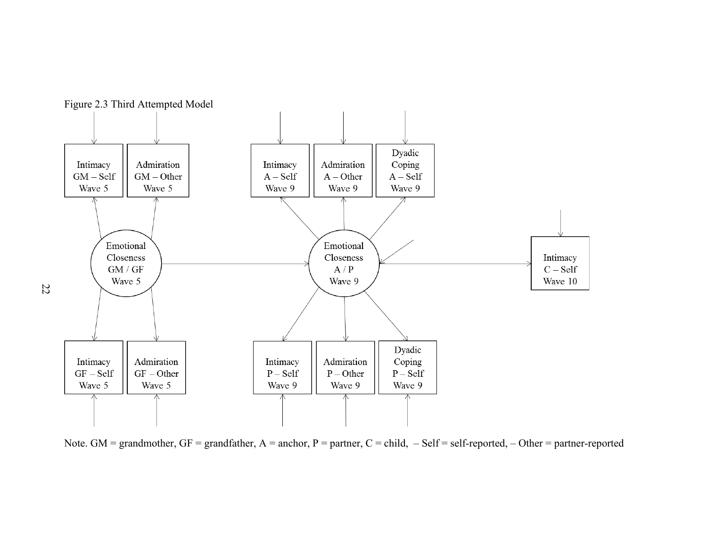<span id="page-31-0"></span>

Note. GM = grandmother, GF = grandfather, A = anchor, P = partner, C = child,  $-$  Self = self-reported,  $-$  Other = partner-reported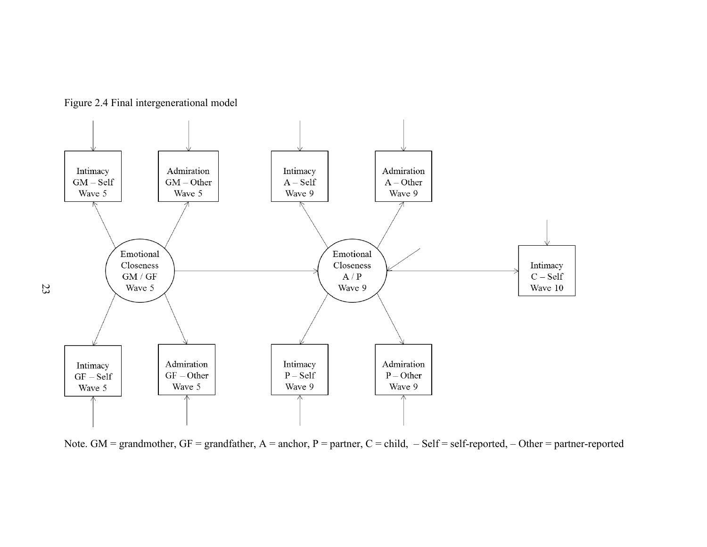<span id="page-32-0"></span>

Figure 2.4 Final intergenerational model

Note. GM = grandmother, GF = grandfather, A = anchor, P = partner, C = child, - Self = self-reported, - Other = partner-reported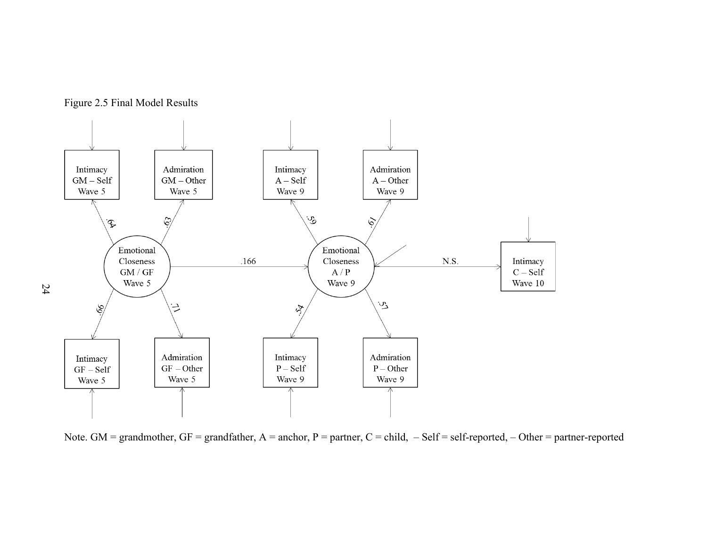

<span id="page-33-0"></span>

Note. GM = grandmother, GF = grandfather, A = anchor, P = partner, C = child,  $-$  Self = self-reported,  $-$  Other = partner-reported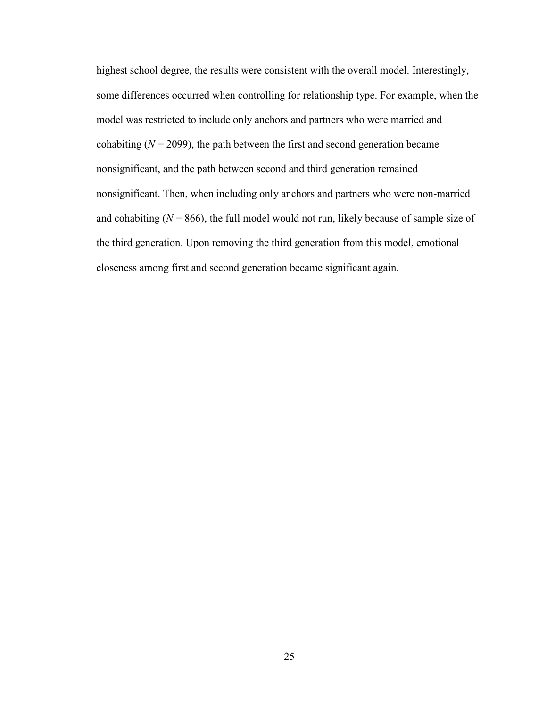highest school degree, the results were consistent with the overall model. Interestingly, some differences occurred when controlling for relationship type. For example, when the model was restricted to include only anchors and partners who were married and cohabiting  $(N = 2099)$ , the path between the first and second generation became nonsignificant, and the path between second and third generation remained nonsignificant. Then, when including only anchors and partners who were non-married and cohabiting  $(N = 866)$ , the full model would not run, likely because of sample size of the third generation. Upon removing the third generation from this model, emotional closeness among first and second generation became significant again.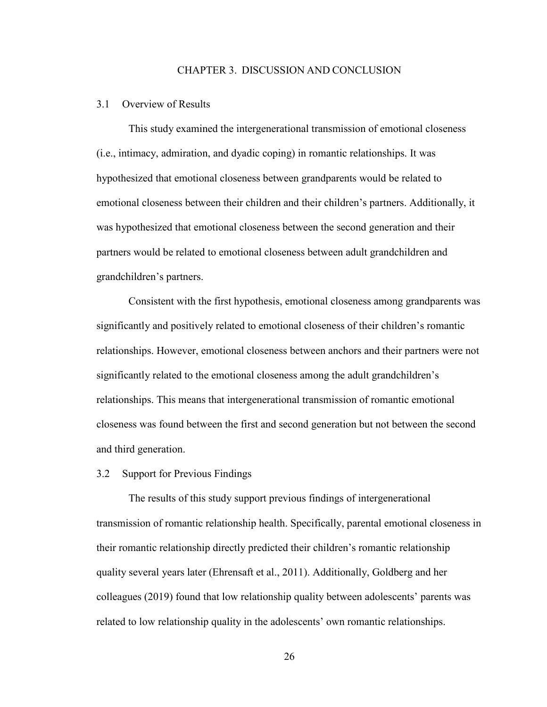#### CHAPTER 3. DISCUSSION AND CONCLUSION

#### <span id="page-35-1"></span><span id="page-35-0"></span>3.1 Overview of Results

This study examined the intergenerational transmission of emotional closeness (i.e., intimacy, admiration, and dyadic coping) in romantic relationships. It was hypothesized that emotional closeness between grandparents would be related to emotional closeness between their children and their children's partners. Additionally, it was hypothesized that emotional closeness between the second generation and their partners would be related to emotional closeness between adult grandchildren and grandchildren's partners.

Consistent with the first hypothesis, emotional closeness among grandparents was significantly and positively related to emotional closeness of their children's romantic relationships. However, emotional closeness between anchors and their partners were not significantly related to the emotional closeness among the adult grandchildren's relationships. This means that intergenerational transmission of romantic emotional closeness was found between the first and second generation but not between the second and third generation.

#### <span id="page-35-2"></span>3.2 Support for Previous Findings

The results of this study support previous findings of intergenerational transmission of romantic relationship health. Specifically, parental emotional closeness in their romantic relationship directly predicted their children's romantic relationship quality several years later (Ehrensaft et al., 2011). Additionally, Goldberg and her colleagues (2019) found that low relationship quality between adolescents' parents was related to low relationship quality in the adolescents' own romantic relationships.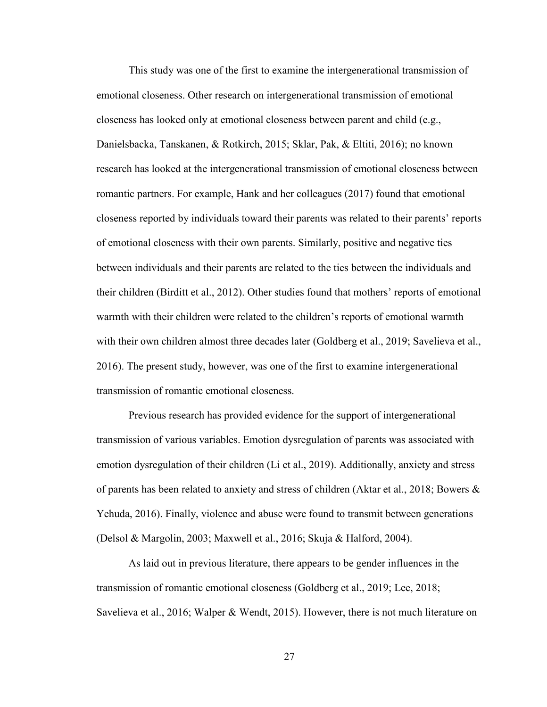This study was one of the first to examine the intergenerational transmission of emotional closeness. Other research on intergenerational transmission of emotional closeness has looked only at emotional closeness between parent and child (e.g., Danielsbacka, Tanskanen, & Rotkirch, 2015; Sklar, Pak, & Eltiti, 2016); no known research has looked at the intergenerational transmission of emotional closeness between romantic partners. For example, Hank and her colleagues (2017) found that emotional closeness reported by individuals toward their parents was related to their parents' reports of emotional closeness with their own parents. Similarly, positive and negative ties between individuals and their parents are related to the ties between the individuals and their children (Birditt et al., 2012). Other studies found that mothers' reports of emotional warmth with their children were related to the children's reports of emotional warmth with their own children almost three decades later (Goldberg et al., 2019; Savelieva et al., 2016). The present study, however, was one of the first to examine intergenerational transmission of romantic emotional closeness.

Previous research has provided evidence for the support of intergenerational transmission of various variables. Emotion dysregulation of parents was associated with emotion dysregulation of their children (Li et al., 2019). Additionally, anxiety and stress of parents has been related to anxiety and stress of children (Aktar et al., 2018; Bowers & Yehuda, 2016). Finally, violence and abuse were found to transmit between generations (Delsol & Margolin, 2003; Maxwell et al., 2016; Skuja & Halford, 2004).

As laid out in previous literature, there appears to be gender influences in the transmission of romantic emotional closeness (Goldberg et al., 2019; Lee, 2018; Savelieva et al., 2016; Walper & Wendt, 2015). However, there is not much literature on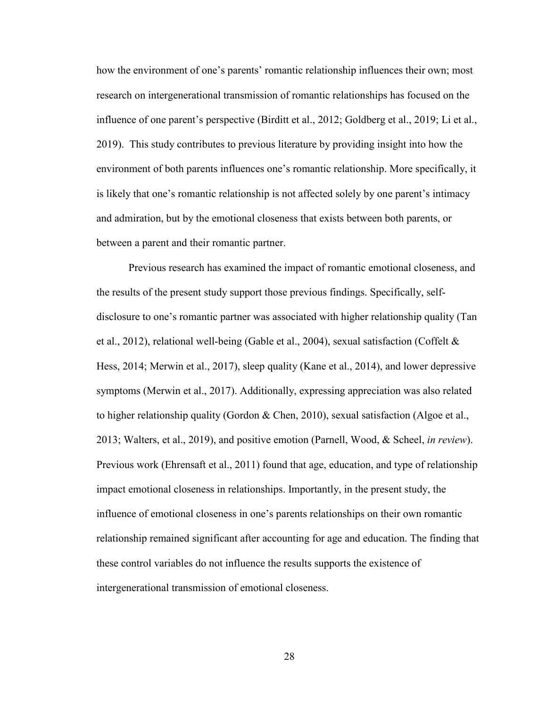how the environment of one's parents' romantic relationship influences their own; most research on intergenerational transmission of romantic relationships has focused on the influence of one parent's perspective (Birditt et al., 2012; Goldberg et al., 2019; Li et al., 2019). This study contributes to previous literature by providing insight into how the environment of both parents influences one's romantic relationship. More specifically, it is likely that one's romantic relationship is not affected solely by one parent's intimacy and admiration, but by the emotional closeness that exists between both parents, or between a parent and their romantic partner.

Previous research has examined the impact of romantic emotional closeness, and the results of the present study support those previous findings. Specifically, selfdisclosure to one's romantic partner was associated with higher relationship quality (Tan et al., 2012), relational well-being (Gable et al., 2004), sexual satisfaction (Coffelt  $\&$ Hess, 2014; Merwin et al., 2017), sleep quality (Kane et al., 2014), and lower depressive symptoms (Merwin et al., 2017). Additionally, expressing appreciation was also related to higher relationship quality (Gordon & Chen, 2010), sexual satisfaction (Algoe et al., 2013; Walters, et al., 2019), and positive emotion (Parnell, Wood, & Scheel, *in review*). Previous work (Ehrensaft et al., 2011) found that age, education, and type of relationship impact emotional closeness in relationships. Importantly, in the present study, the influence of emotional closeness in one's parents relationships on their own romantic relationship remained significant after accounting for age and education. The finding that these control variables do not influence the results supports the existence of intergenerational transmission of emotional closeness.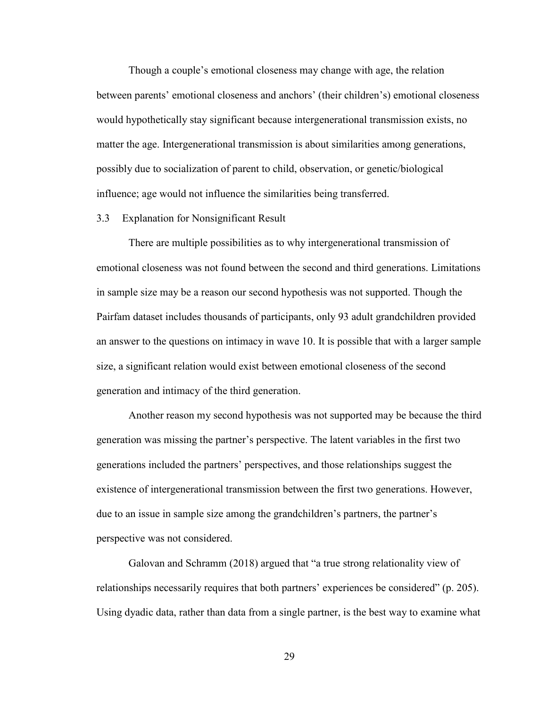Though a couple's emotional closeness may change with age, the relation between parents' emotional closeness and anchors' (their children's) emotional closeness would hypothetically stay significant because intergenerational transmission exists, no matter the age. Intergenerational transmission is about similarities among generations, possibly due to socialization of parent to child, observation, or genetic/biological influence; age would not influence the similarities being transferred.

#### <span id="page-38-0"></span>3.3 Explanation for Nonsignificant Result

There are multiple possibilities as to why intergenerational transmission of emotional closeness was not found between the second and third generations. Limitations in sample size may be a reason our second hypothesis was not supported. Though the Pairfam dataset includes thousands of participants, only 93 adult grandchildren provided an answer to the questions on intimacy in wave 10. It is possible that with a larger sample size, a significant relation would exist between emotional closeness of the second generation and intimacy of the third generation.

Another reason my second hypothesis was not supported may be because the third generation was missing the partner's perspective. The latent variables in the first two generations included the partners' perspectives, and those relationships suggest the existence of intergenerational transmission between the first two generations. However, due to an issue in sample size among the grandchildren's partners, the partner's perspective was not considered.

Galovan and Schramm (2018) argued that "a true strong relationality view of relationships necessarily requires that both partners' experiences be considered" (p. 205). Using dyadic data, rather than data from a single partner, is the best way to examine what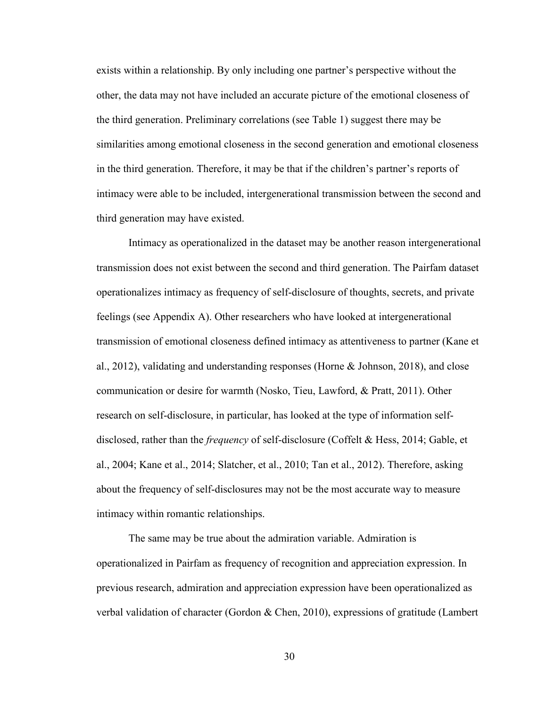exists within a relationship. By only including one partner's perspective without the other, the data may not have included an accurate picture of the emotional closeness of the third generation. Preliminary correlations (see Table 1) suggest there may be similarities among emotional closeness in the second generation and emotional closeness in the third generation. Therefore, it may be that if the children's partner's reports of intimacy were able to be included, intergenerational transmission between the second and third generation may have existed.

Intimacy as operationalized in the dataset may be another reason intergenerational transmission does not exist between the second and third generation. The Pairfam dataset operationalizes intimacy as frequency of self-disclosure of thoughts, secrets, and private feelings (see Appendix A). Other researchers who have looked at intergenerational transmission of emotional closeness defined intimacy as attentiveness to partner (Kane et al., 2012), validating and understanding responses (Horne & Johnson, 2018), and close communication or desire for warmth (Nosko, Tieu, Lawford, & Pratt, 2011). Other research on self-disclosure, in particular, has looked at the type of information selfdisclosed, rather than the *frequency* of self-disclosure (Coffelt & Hess, 2014; Gable, et al., 2004; Kane et al., 2014; Slatcher, et al., 2010; Tan et al., 2012). Therefore, asking about the frequency of self-disclosures may not be the most accurate way to measure intimacy within romantic relationships.

The same may be true about the admiration variable. Admiration is operationalized in Pairfam as frequency of recognition and appreciation expression. In previous research, admiration and appreciation expression have been operationalized as verbal validation of character (Gordon & Chen, 2010), expressions of gratitude (Lambert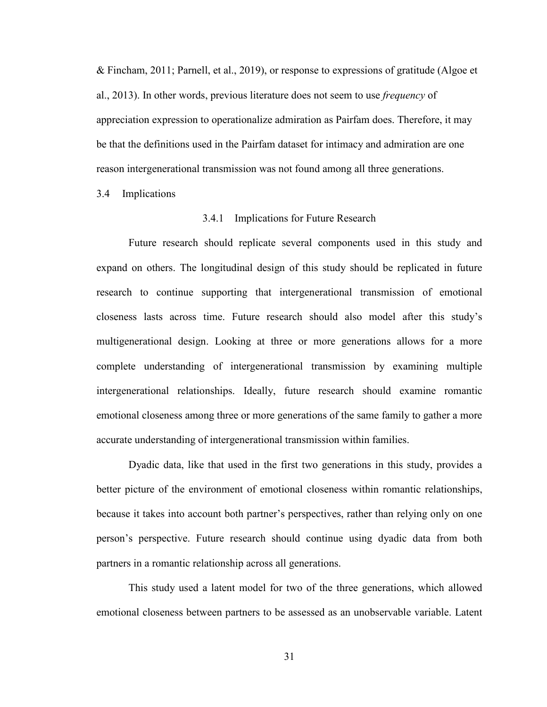& Fincham, 2011; Parnell, et al., 2019), or response to expressions of gratitude (Algoe et al., 2013). In other words, previous literature does not seem to use *frequency* of appreciation expression to operationalize admiration as Pairfam does. Therefore, it may be that the definitions used in the Pairfam dataset for intimacy and admiration are one reason intergenerational transmission was not found among all three generations.

<span id="page-40-1"></span><span id="page-40-0"></span>3.4 Implications

#### 3.4.1 Implications for Future Research

Future research should replicate several components used in this study and expand on others. The longitudinal design of this study should be replicated in future research to continue supporting that intergenerational transmission of emotional closeness lasts across time. Future research should also model after this study's multigenerational design. Looking at three or more generations allows for a more complete understanding of intergenerational transmission by examining multiple intergenerational relationships. Ideally, future research should examine romantic emotional closeness among three or more generations of the same family to gather a more accurate understanding of intergenerational transmission within families.

Dyadic data, like that used in the first two generations in this study, provides a better picture of the environment of emotional closeness within romantic relationships, because it takes into account both partner's perspectives, rather than relying only on one person's perspective. Future research should continue using dyadic data from both partners in a romantic relationship across all generations.

This study used a latent model for two of the three generations, which allowed emotional closeness between partners to be assessed as an unobservable variable. Latent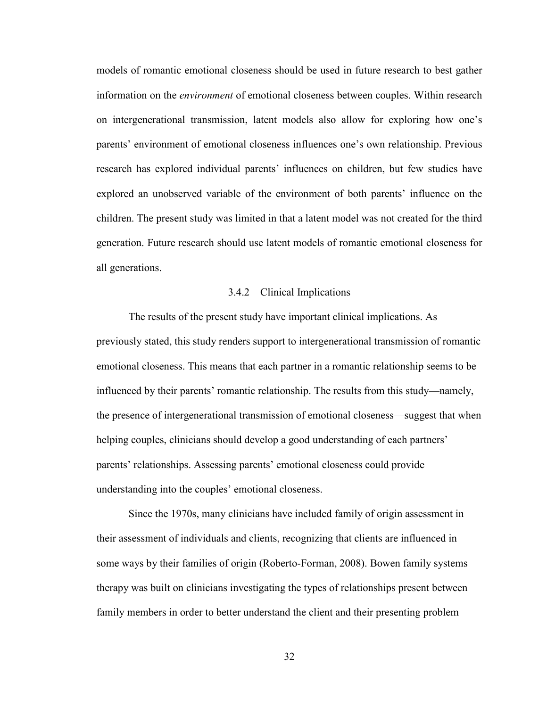models of romantic emotional closeness should be used in future research to best gather information on the *environment* of emotional closeness between couples. Within research on intergenerational transmission, latent models also allow for exploring how one's parents' environment of emotional closeness influences one's own relationship. Previous research has explored individual parents' influences on children, but few studies have explored an unobserved variable of the environment of both parents' influence on the children. The present study was limited in that a latent model was not created for the third generation. Future research should use latent models of romantic emotional closeness for all generations.

#### 3.4.2 Clinical Implications

<span id="page-41-0"></span>The results of the present study have important clinical implications. As previously stated, this study renders support to intergenerational transmission of romantic emotional closeness. This means that each partner in a romantic relationship seems to be influenced by their parents' romantic relationship. The results from this study—namely, the presence of intergenerational transmission of emotional closeness—suggest that when helping couples, clinicians should develop a good understanding of each partners' parents' relationships. Assessing parents' emotional closeness could provide understanding into the couples' emotional closeness.

Since the 1970s, many clinicians have included family of origin assessment in their assessment of individuals and clients, recognizing that clients are influenced in some ways by their families of origin (Roberto-Forman, 2008). Bowen family systems therapy was built on clinicians investigating the types of relationships present between family members in order to better understand the client and their presenting problem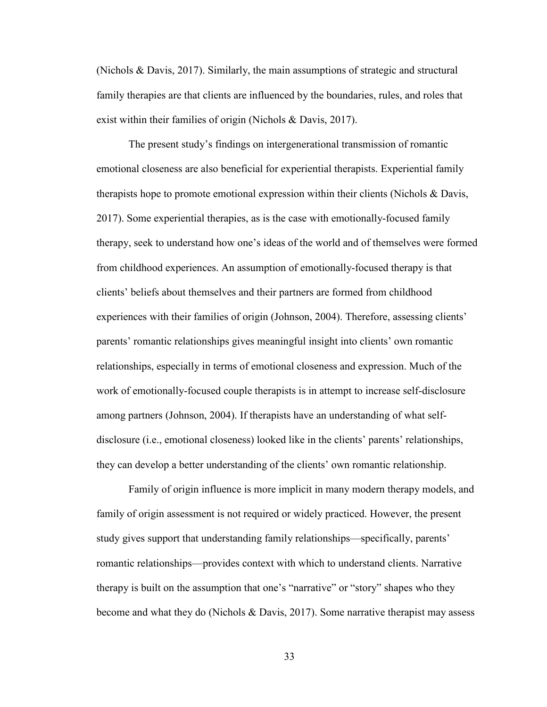(Nichols & Davis, 2017). Similarly, the main assumptions of strategic and structural family therapies are that clients are influenced by the boundaries, rules, and roles that exist within their families of origin (Nichols & Davis, 2017).

The present study's findings on intergenerational transmission of romantic emotional closeness are also beneficial for experiential therapists. Experiential family therapists hope to promote emotional expression within their clients (Nichols & Davis, 2017). Some experiential therapies, as is the case with emotionally-focused family therapy, seek to understand how one's ideas of the world and of themselves were formed from childhood experiences. An assumption of emotionally-focused therapy is that clients' beliefs about themselves and their partners are formed from childhood experiences with their families of origin (Johnson, 2004). Therefore, assessing clients' parents' romantic relationships gives meaningful insight into clients' own romantic relationships, especially in terms of emotional closeness and expression. Much of the work of emotionally-focused couple therapists is in attempt to increase self-disclosure among partners (Johnson, 2004). If therapists have an understanding of what selfdisclosure (i.e., emotional closeness) looked like in the clients' parents' relationships, they can develop a better understanding of the clients' own romantic relationship.

Family of origin influence is more implicit in many modern therapy models, and family of origin assessment is not required or widely practiced. However, the present study gives support that understanding family relationships—specifically, parents' romantic relationships—provides context with which to understand clients. Narrative therapy is built on the assumption that one's "narrative" or "story" shapes who they become and what they do (Nichols & Davis, 2017). Some narrative therapist may assess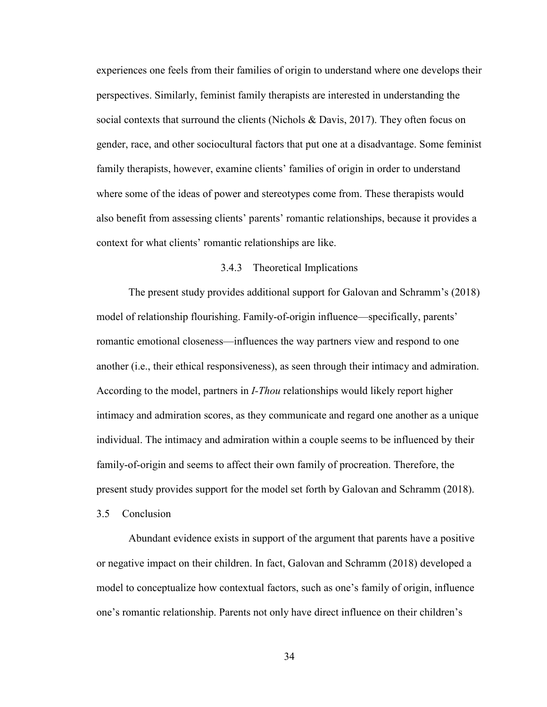experiences one feels from their families of origin to understand where one develops their perspectives. Similarly, feminist family therapists are interested in understanding the social contexts that surround the clients (Nichols  $\&$  Davis, 2017). They often focus on gender, race, and other sociocultural factors that put one at a disadvantage. Some feminist family therapists, however, examine clients' families of origin in order to understand where some of the ideas of power and stereotypes come from. These therapists would also benefit from assessing clients' parents' romantic relationships, because it provides a context for what clients' romantic relationships are like.

#### 3.4.3 Theoretical Implications

<span id="page-43-0"></span>The present study provides additional support for Galovan and Schramm's (2018) model of relationship flourishing. Family-of-origin influence—specifically, parents' romantic emotional closeness—influences the way partners view and respond to one another (i.e., their ethical responsiveness), as seen through their intimacy and admiration. According to the model, partners in *I-Thou* relationships would likely report higher intimacy and admiration scores, as they communicate and regard one another as a unique individual. The intimacy and admiration within a couple seems to be influenced by their family-of-origin and seems to affect their own family of procreation. Therefore, the present study provides support for the model set forth by Galovan and Schramm (2018).

<span id="page-43-1"></span>3.5 Conclusion

Abundant evidence exists in support of the argument that parents have a positive or negative impact on their children. In fact, Galovan and Schramm (2018) developed a model to conceptualize how contextual factors, such as one's family of origin, influence one's romantic relationship. Parents not only have direct influence on their children's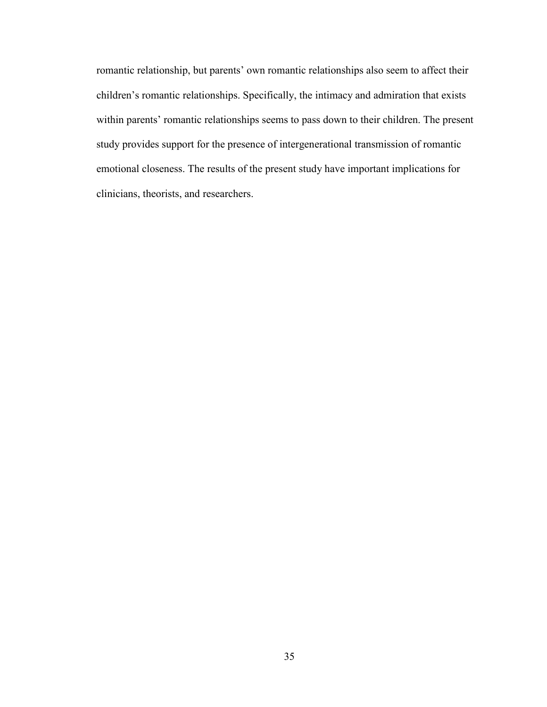romantic relationship, but parents' own romantic relationships also seem to affect their children's romantic relationships. Specifically, the intimacy and admiration that exists within parents' romantic relationships seems to pass down to their children. The present study provides support for the presence of intergenerational transmission of romantic emotional closeness. The results of the present study have important implications for clinicians, theorists, and researchers.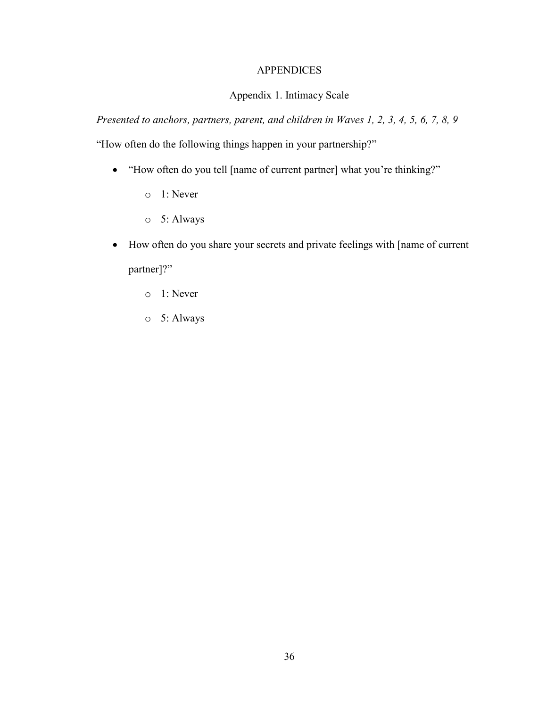# **APPENDICES**

# Appendix 1. Intimacy Scale

<span id="page-45-1"></span><span id="page-45-0"></span>*Presented to anchors, partners, parent, and children in Waves 1, 2, 3, 4, 5, 6, 7, 8, 9*

"How often do the following things happen in your partnership?"

- "How often do you tell [name of current partner] what you're thinking?"
	- o 1: Never
	- o 5: Always
- How often do you share your secrets and private feelings with [name of current partner]?"
	- o 1: Never
	- o 5: Always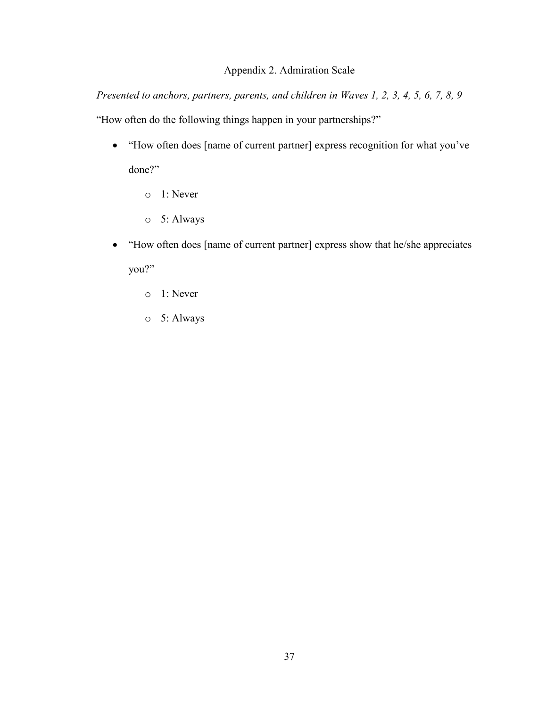# Appendix 2. Admiration Scale

<span id="page-46-0"></span>*Presented to anchors, partners, parents, and children in Waves 1, 2, 3, 4, 5, 6, 7, 8, 9* "How often do the following things happen in your partnerships?"

- "How often does [name of current partner] express recognition for what you've done?"
	- o 1: Never
	- o 5: Always
- "How often does [name of current partner] express show that he/she appreciates you?"
	- o 1: Never
	- o 5: Always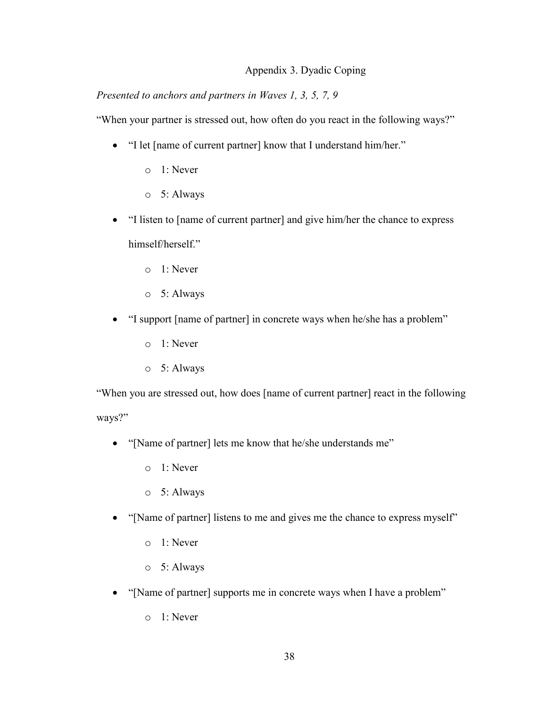# Appendix 3. Dyadic Coping

# <span id="page-47-0"></span>*Presented to anchors and partners in Waves 1, 3, 5, 7, 9*

"When your partner is stressed out, how often do you react in the following ways?"

- "I let [name of current partner] know that I understand him/her."
	- o 1: Never
	- o 5: Always
- "I listen to [name of current partner] and give him/her the chance to express himself/herself."
	- o 1: Never
	- o 5: Always
- "I support [name of partner] in concrete ways when he/she has a problem"
	- o 1: Never
	- o 5: Always

"When you are stressed out, how does [name of current partner] react in the following ways?"

- "[Name of partner] lets me know that he/she understands me"
	- o 1: Never
	- o 5: Always
- "[Name of partner] listens to me and gives me the chance to express myself"
	- o 1: Never
	- o 5: Always
- "[Name of partner] supports me in concrete ways when I have a problem"
	- o 1: Never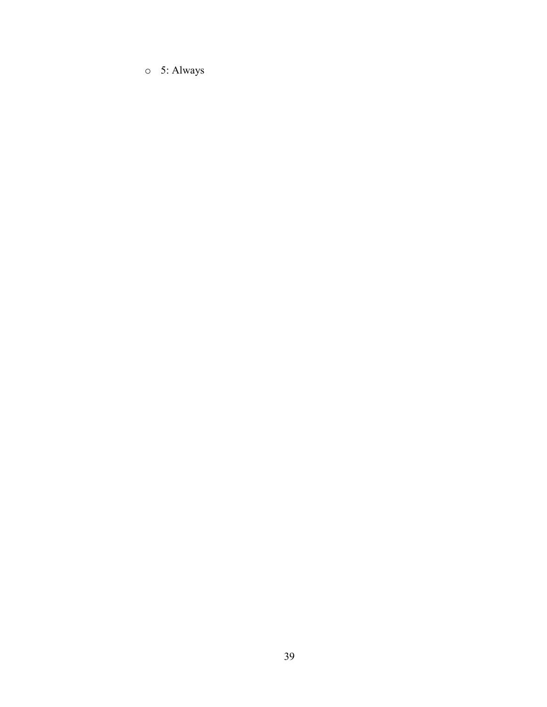o 5: Always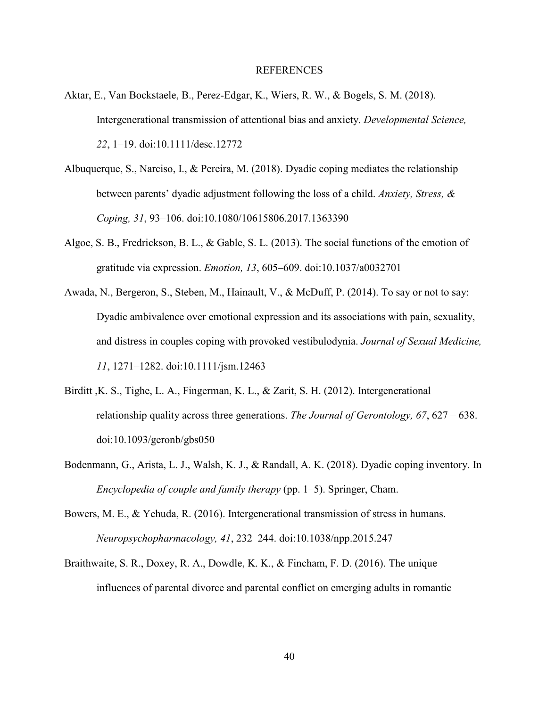#### REFERENCES

- <span id="page-49-0"></span>Aktar, E., Van Bockstaele, B., Perez-Edgar, K., Wiers, R. W., & Bogels, S. M. (2018). Intergenerational transmission of attentional bias and anxiety. *Developmental Science, 22*, 1–19. doi:10.1111/desc.12772
- Albuquerque, S., Narciso, I., & Pereira, M. (2018). Dyadic coping mediates the relationship between parents' dyadic adjustment following the loss of a child. *Anxiety, Stress, & Coping, 31*, 93–106. doi:10.1080/10615806.2017.1363390
- Algoe, S. B., Fredrickson, B. L., & Gable, S. L. (2013). The social functions of the emotion of gratitude via expression. *Emotion, 13*, 605–609. doi:10.1037/a0032701
- Awada, N., Bergeron, S., Steben, M., Hainault, V., & McDuff, P. (2014). To say or not to say: Dyadic ambivalence over emotional expression and its associations with pain, sexuality, and distress in couples coping with provoked vestibulodynia. *Journal of Sexual Medicine, 11*, 1271–1282. doi:10.1111/jsm.12463
- Birditt ,K. S., Tighe, L. A., Fingerman, K. L., & Zarit, S. H. (2012). Intergenerational relationship quality across three generations. *The Journal of Gerontology, 67*, 627 – 638. doi:10.1093/geronb/gbs050
- Bodenmann, G., Arista, L. J., Walsh, K. J., & Randall, A. K. (2018). Dyadic coping inventory. In *Encyclopedia of couple and family therapy* (pp. 1–5). Springer, Cham.
- Bowers, M. E., & Yehuda, R. (2016). Intergenerational transmission of stress in humans. *Neuropsychopharmacology, 41*, 232–244. doi:10.1038/npp.2015.247
- Braithwaite, S. R., Doxey, R. A., Dowdle, K. K., & Fincham, F. D. (2016). The unique influences of parental divorce and parental conflict on emerging adults in romantic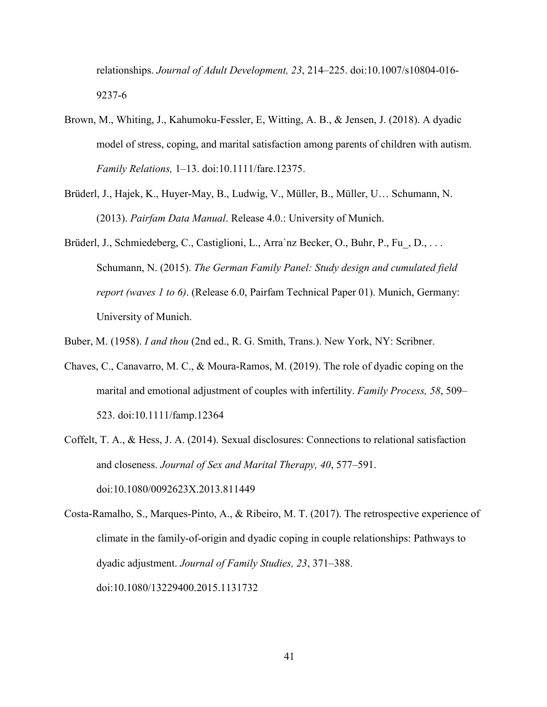relationships. *Journal of Adult Development, 23*, 214–225. doi:10.1007/s10804-016- 9237-6

- Brown, M., Whiting, J., Kahumoku-Fessler, E, Witting, A. B., & Jensen, J. (2018). A dyadic model of stress, coping, and marital satisfaction among parents of children with autism. *Family Relations,* 1–13. doi:10.1111/fare.12375.
- Brüderl, J., Hajek, K., Huyer-May, B., Ludwig, V., Müller, B., Müller, U… Schumann, N. (2013). *Pairfam Data Manual*. Release 4.0.: University of Munich.
- Brüderl, J., Schmiedeberg, C., Castiglioni, L., Arra`nz Becker, O., Buhr, P., Fu, D., . . . Schumann, N. (2015). *The German Family Panel: Study design and cumulated field report (waves 1 to 6)*. (Release 6.0, Pairfam Technical Paper 01). Munich, Germany: University of Munich.
- Buber, M. (1958). *I and thou* (2nd ed., R. G. Smith, Trans.). New York, NY: Scribner.
- Chaves, C., Canavarro, M. C., & Moura-Ramos, M. (2019). The role of dyadic coping on the marital and emotional adjustment of couples with infertility. *Family Process, 58*, 509– 523. doi:10.1111/famp.12364
- Coffelt, T. A., & Hess, J. A. (2014). Sexual disclosures: Connections to relational satisfaction and closeness. *Journal of Sex and Marital Therapy, 40*, 577–591. doi:10.1080/0092623X.2013.811449
- Costa-Ramalho, S., Marques-Pinto, A., & Ribeiro, M. T. (2017). The retrospective experience of climate in the family-of-origin and dyadic coping in couple relationships: Pathways to dyadic adjustment. *Journal of Family Studies, 23*, 371–388. doi:10.1080/13229400.2015.1131732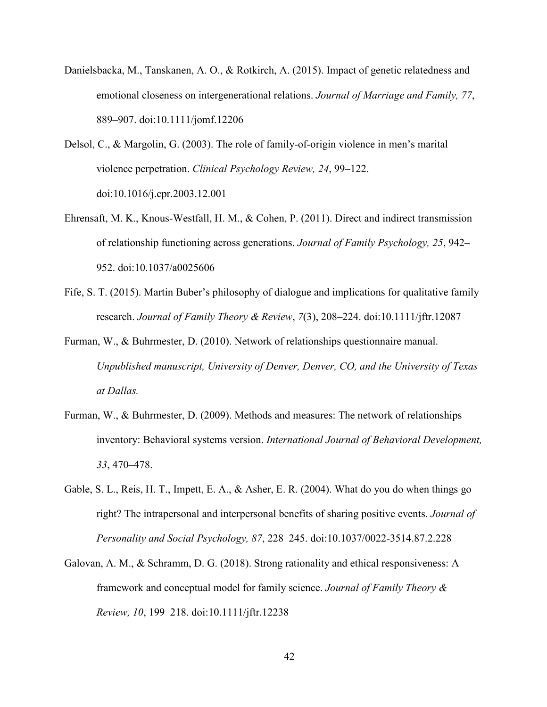- Danielsbacka, M., Tanskanen, A. O., & Rotkirch, A. (2015). Impact of genetic relatedness and emotional closeness on intergenerational relations. *Journal of Marriage and Family, 77*, 889–907. doi:10.1111/jomf.12206
- Delsol, C., & Margolin, G. (2003). The role of family-of-origin violence in men's marital violence perpetration. *Clinical Psychology Review, 24*, 99–122. doi:10.1016/j.cpr.2003.12.001
- Ehrensaft, M. K., Knous-Westfall, H. M., & Cohen, P. (2011). Direct and indirect transmission of relationship functioning across generations. *Journal of Family Psychology, 25*, 942– 952. doi:10.1037/a0025606
- Fife, S. T. (2015). Martin Buber's philosophy of dialogue and implications for qualitative family research. *Journal of Family Theory & Review*, *7*(3), 208–224. doi:10.1111/jftr.12087
- Furman, W., & Buhrmester, D. (2010). Network of relationships questionnaire manual. *Unpublished manuscript, University of Denver, Denver, CO, and the University of Texas at Dallas.*
- Furman, W., & Buhrmester, D. (2009). Methods and measures: The network of relationships inventory: Behavioral systems version. *International Journal of Behavioral Development, 33*, 470–478.
- Gable, S. L., Reis, H. T., Impett, E. A., & Asher, E. R. (2004). What do you do when things go right? The intrapersonal and interpersonal benefits of sharing positive events. *Journal of Personality and Social Psychology, 87*, 228–245. doi:10.1037/0022-3514.87.2.228
- Galovan, A. M., & Schramm, D. G. (2018). Strong rationality and ethical responsiveness: A framework and conceptual model for family science. *Journal of Family Theory & Review, 10*, 199–218. doi:10.1111/jftr.12238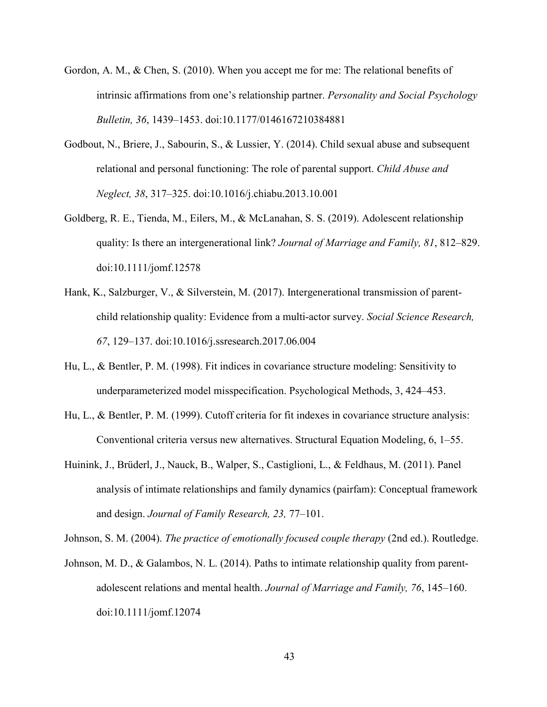- Gordon, A. M., & Chen, S. (2010). When you accept me for me: The relational benefits of intrinsic affirmations from one's relationship partner. *Personality and Social Psychology Bulletin, 36*, 1439–1453. doi:10.1177/0146167210384881
- Godbout, N., Briere, J., Sabourin, S., & Lussier, Y. (2014). Child sexual abuse and subsequent relational and personal functioning: The role of parental support. *Child Abuse and Neglect, 38*, 317–325. doi:10.1016/j.chiabu.2013.10.001
- Goldberg, R. E., Tienda, M., Eilers, M., & McLanahan, S. S. (2019). Adolescent relationship quality: Is there an intergenerational link? *Journal of Marriage and Family, 81*, 812–829. doi:10.1111/jomf.12578
- Hank, K., Salzburger, V., & Silverstein, M. (2017). Intergenerational transmission of parentchild relationship quality: Evidence from a multi-actor survey. *Social Science Research, 67*, 129–137. doi:10.1016/j.ssresearch.2017.06.004
- Hu, L., & Bentler, P. M. (1998). Fit indices in covariance structure modeling: Sensitivity to underparameterized model misspecification. Psychological Methods, 3, 424–453.
- Hu, L., & Bentler, P. M. (1999). Cutoff criteria for fit indexes in covariance structure analysis: Conventional criteria versus new alternatives. Structural Equation Modeling, 6, 1–55.
- Huinink, J., Brüderl, J., Nauck, B., Walper, S., Castiglioni, L., & Feldhaus, M. (2011). Panel analysis of intimate relationships and family dynamics (pairfam): Conceptual framework and design. *Journal of Family Research, 23,* 77–101.

Johnson, S. M. (2004). *The practice of emotionally focused couple therapy* (2nd ed.). Routledge.

Johnson, M. D., & Galambos, N. L. (2014). Paths to intimate relationship quality from parentadolescent relations and mental health. *Journal of Marriage and Family, 76*, 145–160. doi:10.1111/jomf.12074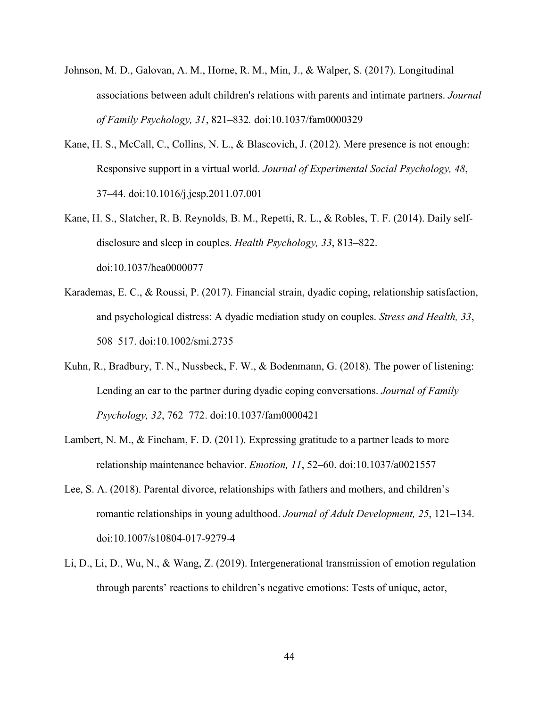- Johnson, M. D., Galovan, A. M., Horne, R. M., Min, J., & Walper, S. (2017). Longitudinal associations between adult children's relations with parents and intimate partners. *Journal of Family Psychology, 31*, 821–832*.* doi:10.1037/fam0000329
- Kane, H. S., McCall, C., Collins, N. L., & Blascovich, J. (2012). Mere presence is not enough: Responsive support in a virtual world. *Journal of Experimental Social Psychology, 48*, 37–44. doi:10.1016/j.jesp.2011.07.001
- Kane, H. S., Slatcher, R. B. Reynolds, B. M., Repetti, R. L., & Robles, T. F. (2014). Daily selfdisclosure and sleep in couples. *Health Psychology, 33*, 813–822. doi:10.1037/hea0000077
- Karademas, E. C., & Roussi, P. (2017). Financial strain, dyadic coping, relationship satisfaction, and psychological distress: A dyadic mediation study on couples. *Stress and Health, 33*, 508–517. doi:10.1002/smi.2735
- Kuhn, R., Bradbury, T. N., Nussbeck, F. W., & Bodenmann, G. (2018). The power of listening: Lending an ear to the partner during dyadic coping conversations. *Journal of Family Psychology, 32*, 762–772. doi:10.1037/fam0000421
- Lambert, N. M., & Fincham, F. D. (2011). Expressing gratitude to a partner leads to more relationship maintenance behavior. *Emotion, 11*, 52–60. doi:10.1037/a0021557
- Lee, S. A. (2018). Parental divorce, relationships with fathers and mothers, and children's romantic relationships in young adulthood. *Journal of Adult Development, 25*, 121–134. doi:10.1007/s10804-017-9279-4
- Li, D., Li, D., Wu, N., & Wang, Z. (2019). Intergenerational transmission of emotion regulation through parents' reactions to children's negative emotions: Tests of unique, actor,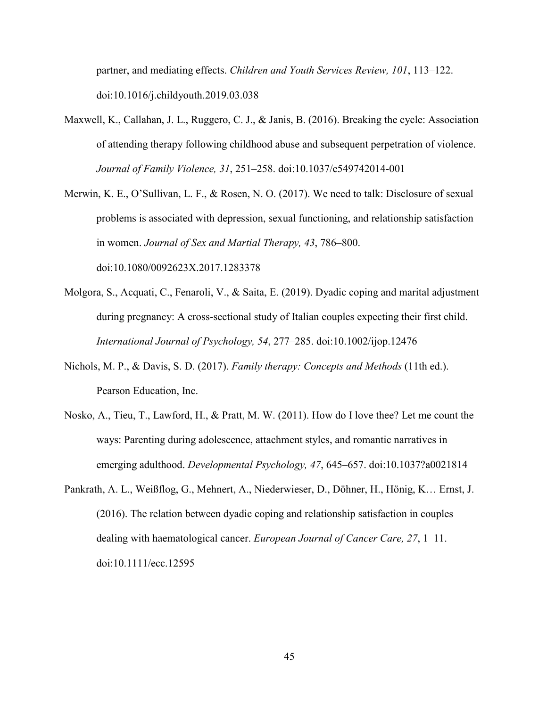partner, and mediating effects. *Children and Youth Services Review, 101*, 113–122. doi:10.1016/j.childyouth.2019.03.038

- Maxwell, K., Callahan, J. L., Ruggero, C. J., & Janis, B. (2016). Breaking the cycle: Association of attending therapy following childhood abuse and subsequent perpetration of violence. *Journal of Family Violence, 31*, 251–258. doi:10.1037/e549742014-001
- Merwin, K. E., O'Sullivan, L. F., & Rosen, N. O. (2017). We need to talk: Disclosure of sexual problems is associated with depression, sexual functioning, and relationship satisfaction in women. *Journal of Sex and Martial Therapy, 43*, 786–800. doi:10.1080/0092623X.2017.1283378
- Molgora, S., Acquati, C., Fenaroli, V., & Saita, E. (2019). Dyadic coping and marital adjustment during pregnancy: A cross-sectional study of Italian couples expecting their first child. *International Journal of Psychology, 54*, 277–285. doi:10.1002/ijop.12476
- Nichols, M. P., & Davis, S. D. (2017). *Family therapy: Concepts and Methods* (11th ed.). Pearson Education, Inc.
- Nosko, A., Tieu, T., Lawford, H., & Pratt, M. W. (2011). How do I love thee? Let me count the ways: Parenting during adolescence, attachment styles, and romantic narratives in emerging adulthood. *Developmental Psychology, 47*, 645–657. doi:10.1037?a0021814
- Pankrath, A. L., Weißflog, G., Mehnert, A., Niederwieser, D., Döhner, H., Hönig, K… Ernst, J. (2016). The relation between dyadic coping and relationship satisfaction in couples dealing with haematological cancer. *European Journal of Cancer Care, 27*, 1–11. doi:10.1111/ecc.12595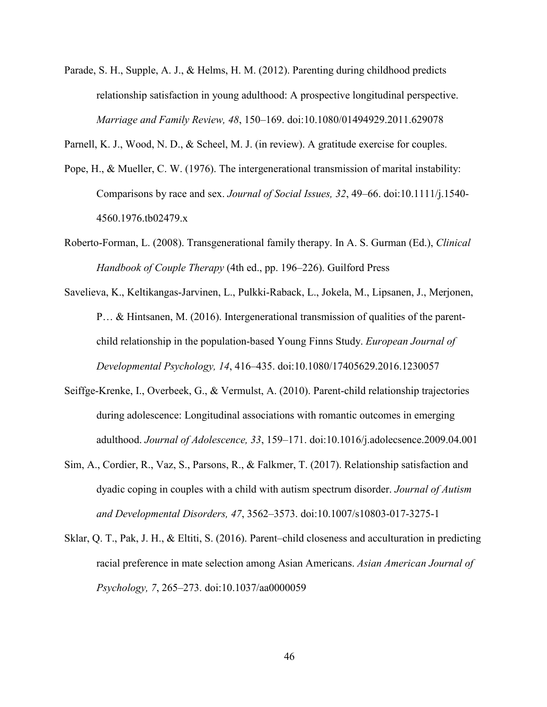Parade, S. H., Supple, A. J., & Helms, H. M. (2012). Parenting during childhood predicts relationship satisfaction in young adulthood: A prospective longitudinal perspective. *Marriage and Family Review, 48*, 150–169. doi:10.1080/01494929.2011.629078

Parnell, K. J., Wood, N. D., & Scheel, M. J. (in review). A gratitude exercise for couples.

- Pope, H., & Mueller, C. W. (1976). The intergenerational transmission of marital instability: Comparisons by race and sex. *Journal of Social Issues, 32*, 49–66. doi:10.1111/j.1540- 4560.1976.tb02479.x
- Roberto-Forman, L. (2008). Transgenerational family therapy. In A. S. Gurman (Ed.), *Clinical Handbook of Couple Therapy* (4th ed., pp. 196–226). Guilford Press
- Savelieva, K., Keltikangas-Jarvinen, L., Pulkki-Raback, L., Jokela, M., Lipsanen, J., Merjonen, P… & Hintsanen, M. (2016). Intergenerational transmission of qualities of the parentchild relationship in the population-based Young Finns Study. *European Journal of Developmental Psychology, 14*, 416–435. doi:10.1080/17405629.2016.1230057
- Seiffge-Krenke, I., Overbeek, G., & Vermulst, A. (2010). Parent-child relationship trajectories during adolescence: Longitudinal associations with romantic outcomes in emerging adulthood. *Journal of Adolescence, 33*, 159–171. doi:10.1016/j.adolecsence.2009.04.001
- Sim, A., Cordier, R., Vaz, S., Parsons, R., & Falkmer, T. (2017). Relationship satisfaction and dyadic coping in couples with a child with autism spectrum disorder. *Journal of Autism and Developmental Disorders, 47*, 3562–3573. doi:10.1007/s10803-017-3275-1
- Sklar, Q. T., Pak, J. H., & Eltiti, S. (2016). Parent–child closeness and acculturation in predicting racial preference in mate selection among Asian Americans. *Asian American Journal of Psychology, 7*, 265–273. doi:10.1037/aa0000059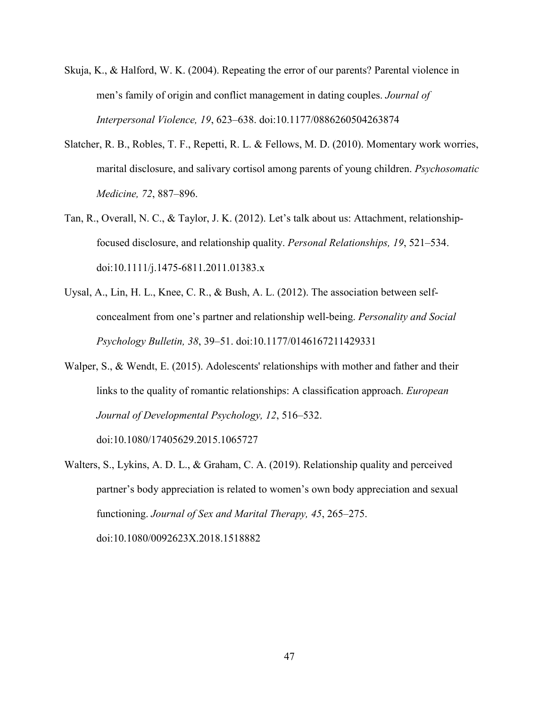- Skuja, K., & Halford, W. K. (2004). Repeating the error of our parents? Parental violence in men's family of origin and conflict management in dating couples. *Journal of Interpersonal Violence, 19*, 623–638. doi:10.1177/0886260504263874
- Slatcher, R. B., Robles, T. F., Repetti, R. L. & Fellows, M. D. (2010). Momentary work worries, marital disclosure, and salivary cortisol among parents of young children. *Psychosomatic Medicine, 72*, 887–896.
- Tan, R., Overall, N. C., & Taylor, J. K. (2012). Let's talk about us: Attachment, relationshipfocused disclosure, and relationship quality. *Personal Relationships, 19*, 521–534. doi:10.1111/j.1475-6811.2011.01383.x
- Uysal, A., Lin, H. L., Knee, C. R., & Bush, A. L. (2012). The association between selfconcealment from one's partner and relationship well-being. *Personality and Social Psychology Bulletin, 38*, 39–51. doi:10.1177/0146167211429331
- Walper, S., & Wendt, E. (2015). Adolescents' relationships with mother and father and their links to the quality of romantic relationships: A classification approach. *European Journal of Developmental Psychology, 12*, 516–532.

doi:10.1080/17405629.2015.1065727

Walters, S., Lykins, A. D. L., & Graham, C. A. (2019). Relationship quality and perceived partner's body appreciation is related to women's own body appreciation and sexual functioning. *Journal of Sex and Marital Therapy, 45*, 265–275. doi:10.1080/0092623X.2018.1518882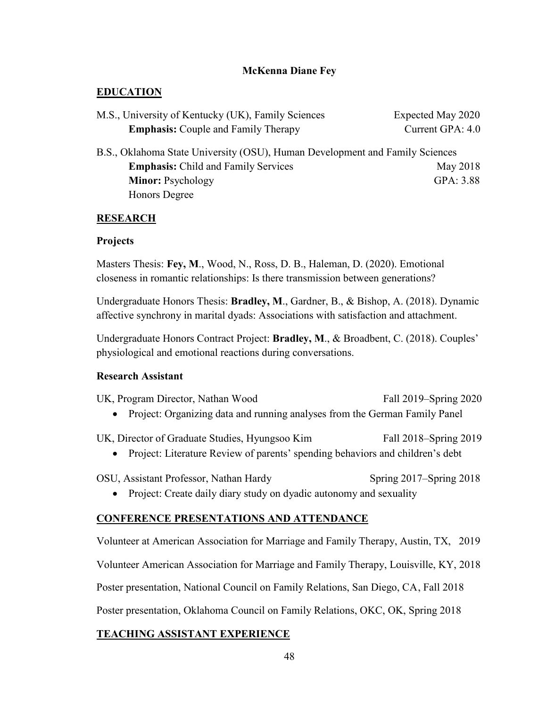# **McKenna Diane Fey**

# <span id="page-57-0"></span>**EDUCATION**

| M.S., University of Kentucky (UK), Family Sciences | Expected May 2020 |
|----------------------------------------------------|-------------------|
| <b>Emphasis:</b> Couple and Family Therapy         | Current GPA: 4.0  |

B.S., Oklahoma State University (OSU), Human Development and Family Sciences **Emphasis:** Child and Family Services May 2018 **Minor:** Psychology GPA: 3.88 Honors Degree

### **RESEARCH**

### **Projects**

Masters Thesis: **Fey, M**., Wood, N., Ross, D. B., Haleman, D. (2020). Emotional closeness in romantic relationships: Is there transmission between generations?

Undergraduate Honors Thesis: **Bradley, M**., Gardner, B., & Bishop, A. (2018). Dynamic affective synchrony in marital dyads: Associations with satisfaction and attachment.

Undergraduate Honors Contract Project: **Bradley, M**., & Broadbent, C. (2018). Couples' physiological and emotional reactions during conversations.

### **Research Assistant**

| UK, Program Director, Nathan Wood | Fall 2019–Spring 2020 |
|-----------------------------------|-----------------------|
|-----------------------------------|-----------------------|

• Project: Organizing data and running analyses from the German Family Panel

UK, Director of Graduate Studies, Hyungsoo Kim Fall 2018–Spring 2019

• Project: Literature Review of parents' spending behaviors and children's debt

OSU, Assistant Professor, Nathan Hardy Spring 2017–Spring 2018

• Project: Create daily diary study on dyadic autonomy and sexuality

# **CONFERENCE PRESENTATIONS AND ATTENDANCE**

Volunteer at American Association for Marriage and Family Therapy, Austin, TX, 2019

Volunteer American Association for Marriage and Family Therapy, Louisville, KY, 2018

Poster presentation, National Council on Family Relations, San Diego, CA, Fall 2018

Poster presentation, Oklahoma Council on Family Relations, OKC, OK, Spring 2018

# **TEACHING ASSISTANT EXPERIENCE**